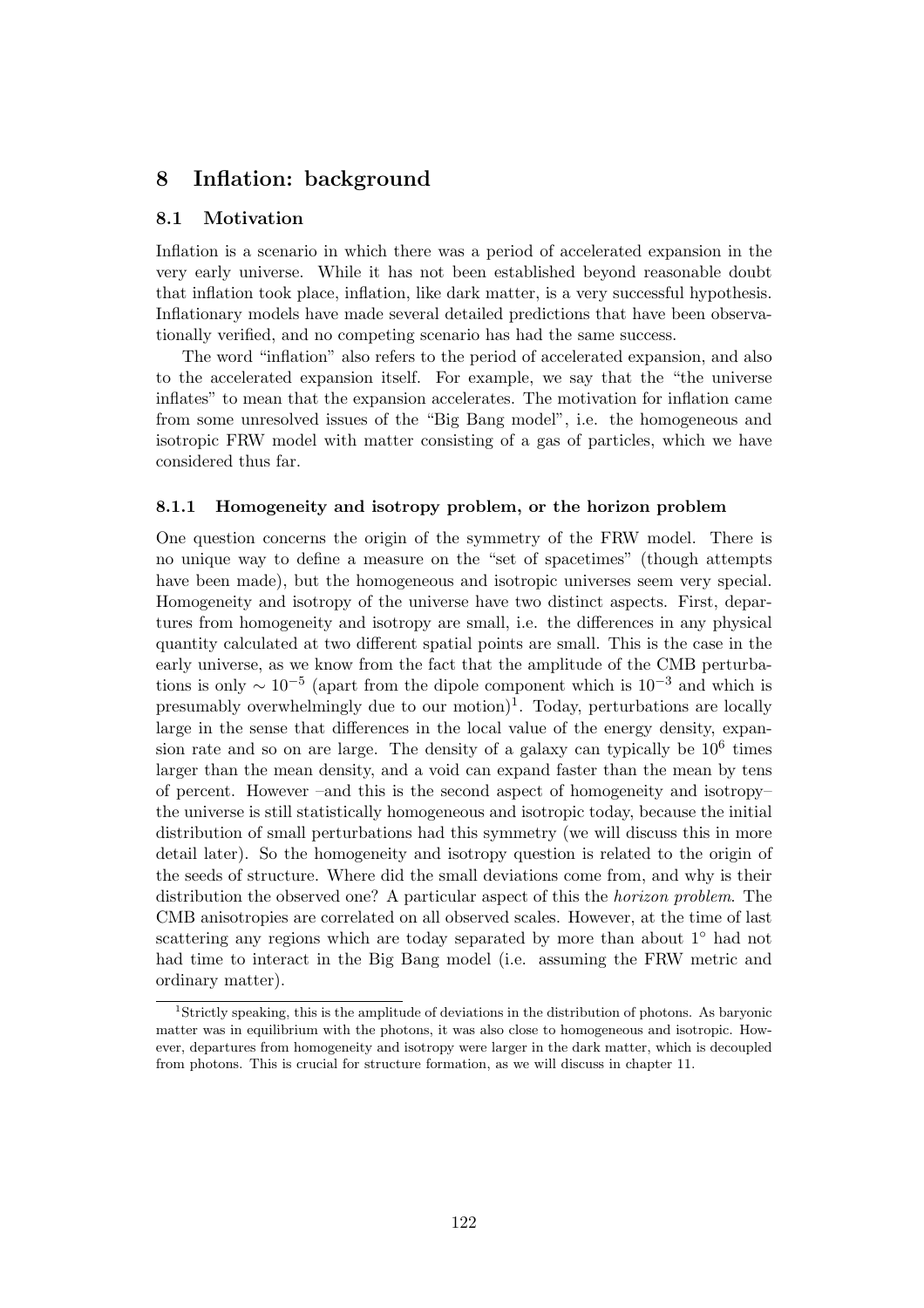# 8 Inflation: background

## 8.1 Motivation

Inflation is a scenario in which there was a period of accelerated expansion in the very early universe. While it has not been established beyond reasonable doubt that inflation took place, inflation, like dark matter, is a very successful hypothesis. Inflationary models have made several detailed predictions that have been observationally verified, and no competing scenario has had the same success.

The word "inflation" also refers to the period of accelerated expansion, and also to the accelerated expansion itself. For example, we say that the "the universe inflates" to mean that the expansion accelerates. The motivation for inflation came from some unresolved issues of the "Big Bang model", i.e. the homogeneous and isotropic FRW model with matter consisting of a gas of particles, which we have considered thus far.

## 8.1.1 Homogeneity and isotropy problem, or the horizon problem

One question concerns the origin of the symmetry of the FRW model. There is no unique way to define a measure on the "set of spacetimes" (though attempts have been made), but the homogeneous and isotropic universes seem very special. Homogeneity and isotropy of the universe have two distinct aspects. First, departures from homogeneity and isotropy are small, i.e. the differences in any physical quantity calculated at two different spatial points are small. This is the case in the early universe, as we know from the fact that the amplitude of the CMB perturbations is only  $\sim 10^{-5}$  (apart from the dipole component which is  $10^{-3}$  and which is presumably overwhelmingly due to our motion)<sup>1</sup>. Today, perturbations are locally large in the sense that differences in the local value of the energy density, expansion rate and so on are large. The density of a galaxy can typically be  $10<sup>6</sup>$  times larger than the mean density, and a void can expand faster than the mean by tens of percent. However –and this is the second aspect of homogeneity and isotropy– the universe is still statistically homogeneous and isotropic today, because the initial distribution of small perturbations had this symmetry (we will discuss this in more detail later). So the homogeneity and isotropy question is related to the origin of the seeds of structure. Where did the small deviations come from, and why is their distribution the observed one? A particular aspect of this the horizon problem. The CMB anisotropies are correlated on all observed scales. However, at the time of last scattering any regions which are today separated by more than about 1<sup>°</sup> had not had time to interact in the Big Bang model (i.e. assuming the FRW metric and ordinary matter).

<sup>1</sup>Strictly speaking, this is the amplitude of deviations in the distribution of photons. As baryonic matter was in equilibrium with the photons, it was also close to homogeneous and isotropic. However, departures from homogeneity and isotropy were larger in the dark matter, which is decoupled from photons. This is crucial for structure formation, as we will discuss in chapter 11.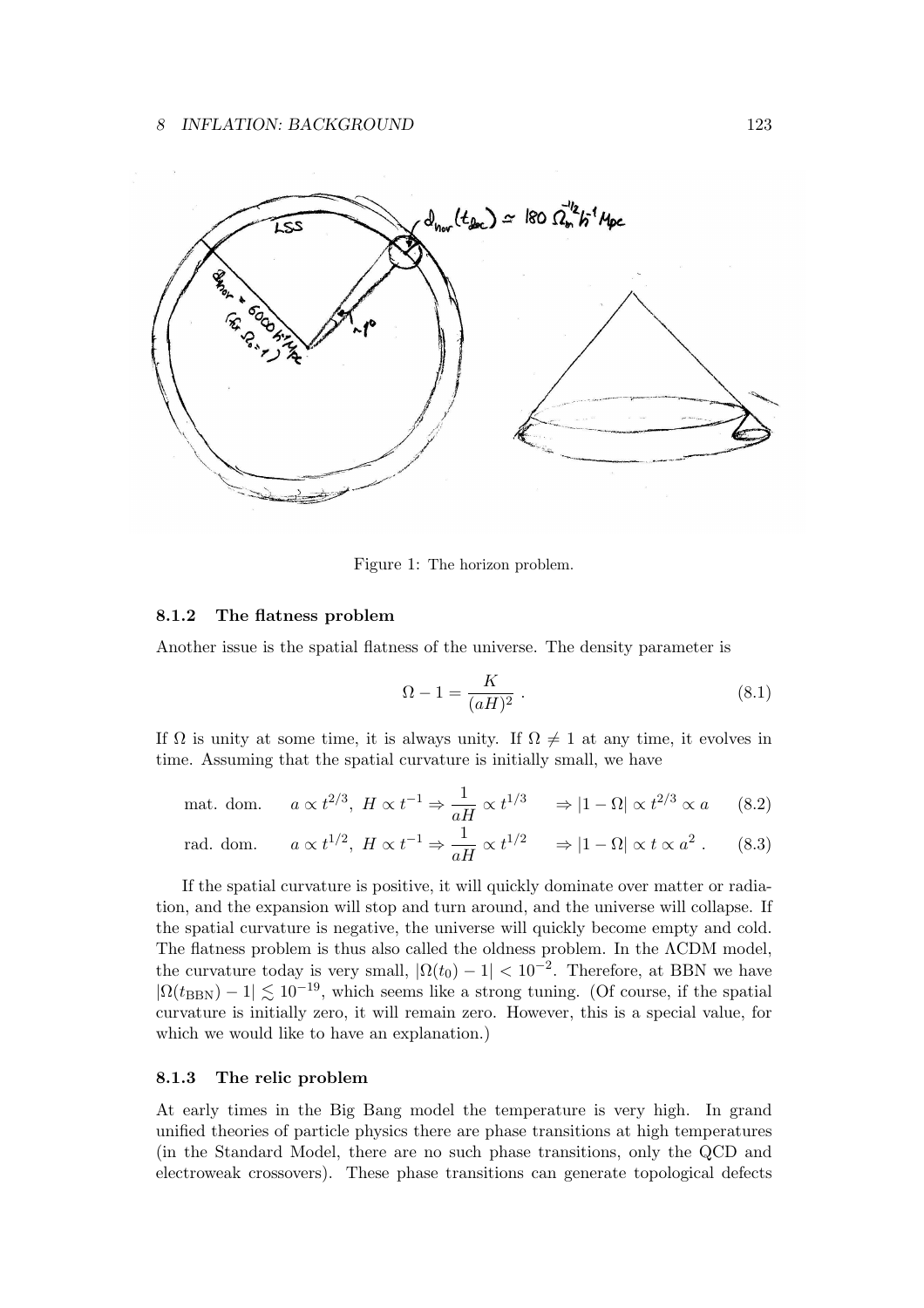

Figure 1: The horizon problem.

#### 8.1.2 The flatness problem

Another issue is the spatial flatness of the universe. The density parameter is

$$
\Omega - 1 = \frac{K}{(aH)^2} \tag{8.1}
$$

If  $\Omega$  is unity at some time, it is always unity. If  $\Omega \neq 1$  at any time, it evolves in time. Assuming that the spatial curvature is initially small, we have

$$
\text{mat. dom.} \qquad a \propto t^{2/3}, \ H \propto t^{-1} \Rightarrow \frac{1}{aH} \propto t^{1/3} \qquad \Rightarrow |1 - \Omega| \propto t^{2/3} \propto a \tag{8.2}
$$

rad. dom. 
$$
a \propto t^{1/2}
$$
,  $H \propto t^{-1} \Rightarrow \frac{1}{aH} \propto t^{1/2} \Rightarrow |1 - \Omega| \propto t \propto a^2$ . (8.3)

If the spatial curvature is positive, it will quickly dominate over matter or radiation, and the expansion will stop and turn around, and the universe will collapse. If the spatial curvature is negative, the universe will quickly become empty and cold. The flatness problem is thus also called the oldness problem. In the ΛCDM model, the curvature today is very small,  $|\Omega(t_0) - 1| < 10^{-2}$ . Therefore, at BBN we have  $|\Omega(t_{\text{BBN}}) - 1| \lesssim 10^{-19}$ , which seems like a strong tuning. (Of course, if the spatial curvature is initially zero, it will remain zero. However, this is a special value, for which we would like to have an explanation.)

## 8.1.3 The relic problem

At early times in the Big Bang model the temperature is very high. In grand unified theories of particle physics there are phase transitions at high temperatures (in the Standard Model, there are no such phase transitions, only the QCD and electroweak crossovers). These phase transitions can generate topological defects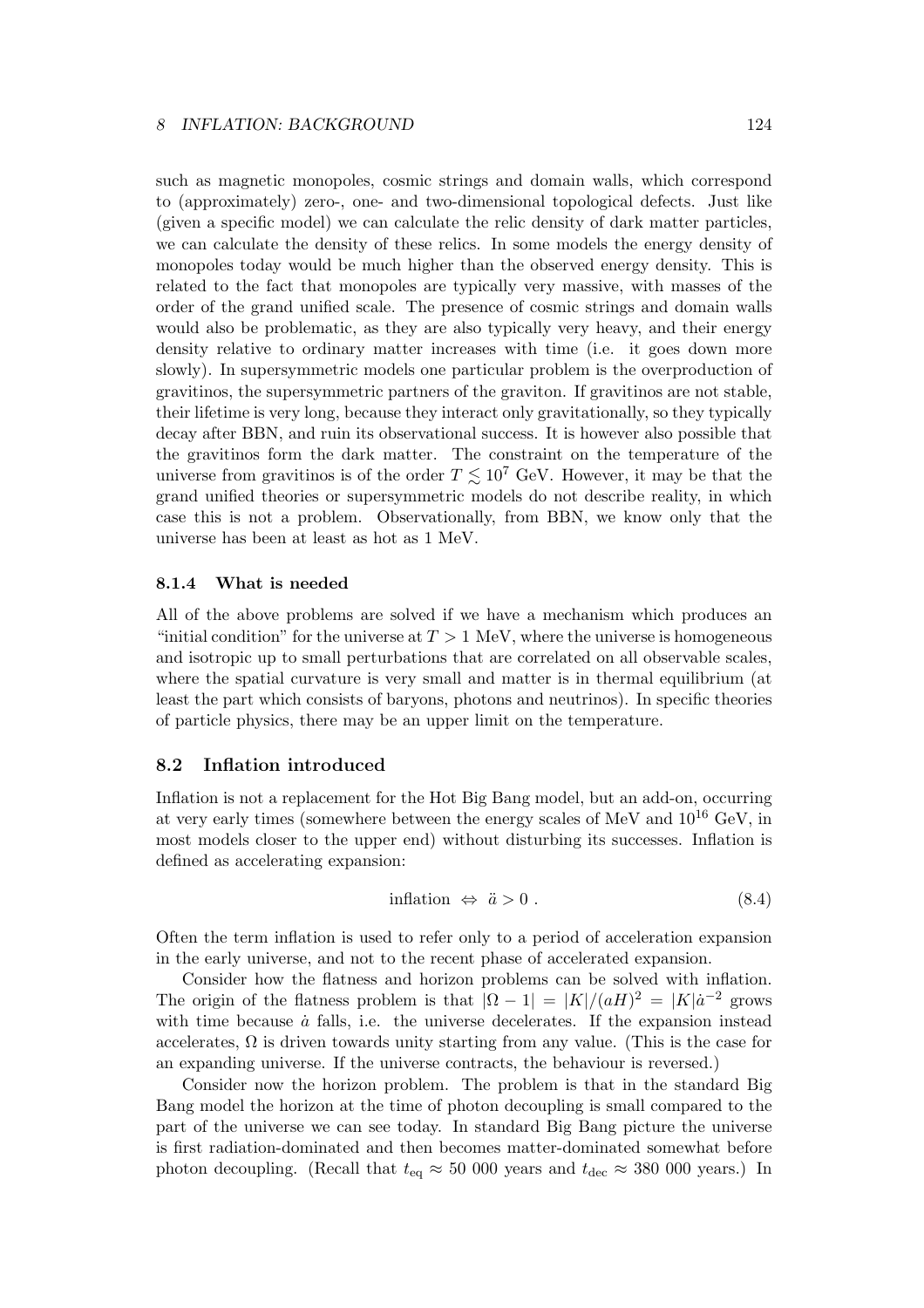such as magnetic monopoles, cosmic strings and domain walls, which correspond to (approximately) zero-, one- and two-dimensional topological defects. Just like (given a specific model) we can calculate the relic density of dark matter particles, we can calculate the density of these relics. In some models the energy density of monopoles today would be much higher than the observed energy density. This is related to the fact that monopoles are typically very massive, with masses of the order of the grand unified scale. The presence of cosmic strings and domain walls would also be problematic, as they are also typically very heavy, and their energy density relative to ordinary matter increases with time (i.e. it goes down more slowly). In supersymmetric models one particular problem is the overproduction of gravitinos, the supersymmetric partners of the graviton. If gravitinos are not stable, their lifetime is very long, because they interact only gravitationally, so they typically decay after BBN, and ruin its observational success. It is however also possible that the gravitinos form the dark matter. The constraint on the temperature of the universe from gravitinos is of the order  $T \lesssim 10^7$  GeV. However, it may be that the grand unified theories or supersymmetric models do not describe reality, in which case this is not a problem. Observationally, from BBN, we know only that the universe has been at least as hot as 1 MeV.

## 8.1.4 What is needed

All of the above problems are solved if we have a mechanism which produces an "initial condition" for the universe at  $T > 1$  MeV, where the universe is homogeneous and isotropic up to small perturbations that are correlated on all observable scales, where the spatial curvature is very small and matter is in thermal equilibrium (at least the part which consists of baryons, photons and neutrinos). In specific theories of particle physics, there may be an upper limit on the temperature.

#### 8.2 Inflation introduced

Inflation is not a replacement for the Hot Big Bang model, but an add-on, occurring at very early times (somewhere between the energy scales of MeV and  $10^{16}$  GeV, in most models closer to the upper end) without disturbing its successes. Inflation is defined as accelerating expansion:

$$
inflation \Leftrightarrow \ddot{a} > 0. \tag{8.4}
$$

Often the term inflation is used to refer only to a period of acceleration expansion in the early universe, and not to the recent phase of accelerated expansion.

Consider how the flatness and horizon problems can be solved with inflation. The origin of the flatness problem is that  $|\Omega - 1| = |K|/(aH)^2 = |K| \dot{a}^{-2}$  grows with time because  $\dot{a}$  falls, i.e. the universe decelerates. If the expansion instead accelerates,  $\Omega$  is driven towards unity starting from any value. (This is the case for an expanding universe. If the universe contracts, the behaviour is reversed.)

Consider now the horizon problem. The problem is that in the standard Big Bang model the horizon at the time of photon decoupling is small compared to the part of the universe we can see today. In standard Big Bang picture the universe is first radiation-dominated and then becomes matter-dominated somewhat before photon decoupling. (Recall that  $t_{\text{eq}} \approx 50\ 000$  years and  $t_{\text{dec}} \approx 380\ 000$  years.) In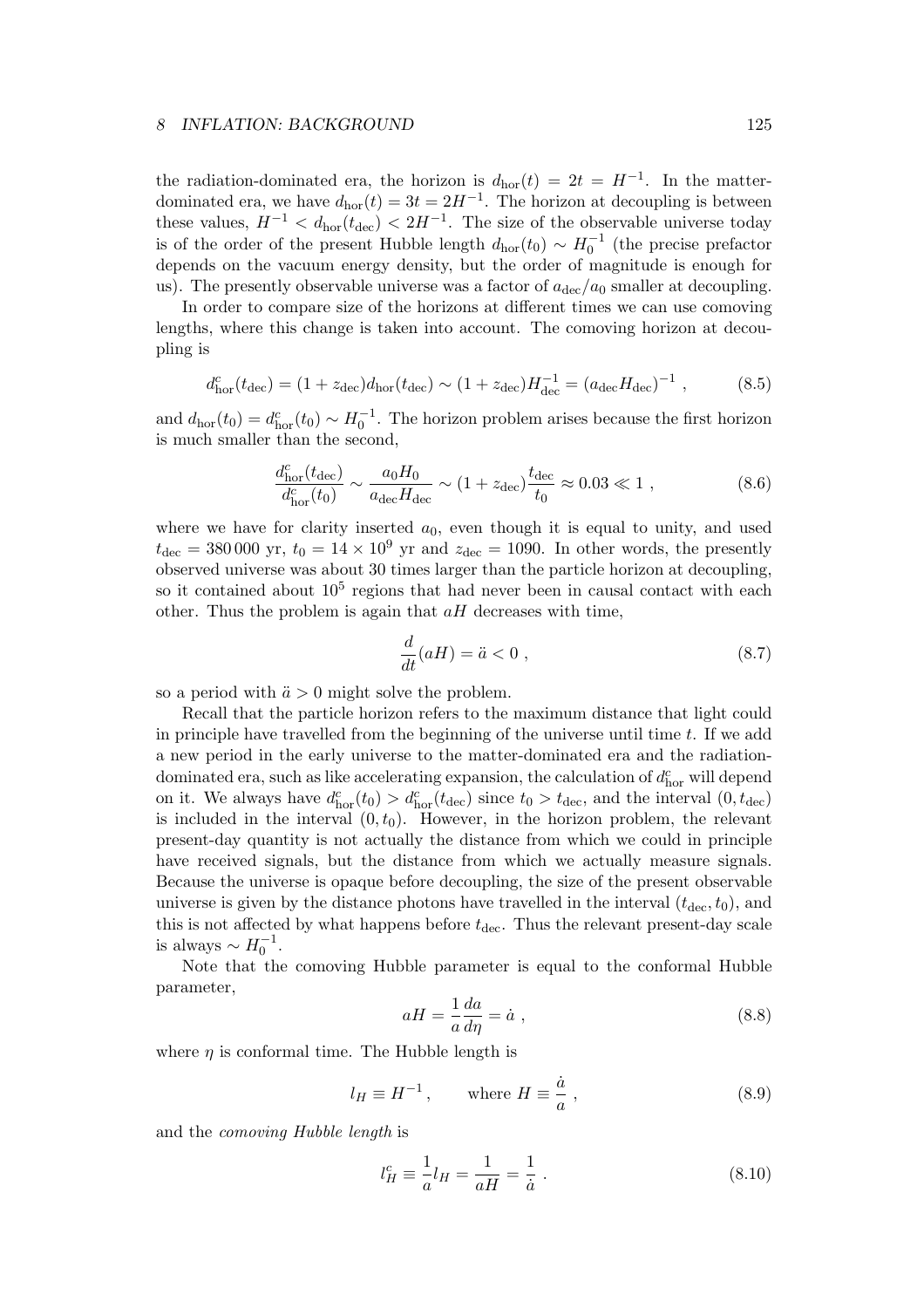the radiation-dominated era, the horizon is  $d_{\text{hor}}(t) = 2t = H^{-1}$ . In the matterdominated era, we have  $d_{\text{hor}}(t) = 3t = 2H^{-1}$ . The horizon at decoupling is between these values,  $H^{-1} < d_{\text{hor}}(t_{\text{dec}}) < 2H^{-1}$ . The size of the observable universe today is of the order of the present Hubble length  $d_{\text{hor}}(t_0) \sim H_0^{-1}$  (the precise prefactor depends on the vacuum energy density, but the order of magnitude is enough for us). The presently observable universe was a factor of  $a_{\text{dec}}/a_0$  smaller at decoupling.

In order to compare size of the horizons at different times we can use comoving lengths, where this change is taken into account. The comoving horizon at decoupling is

$$
d_{\text{hor}}^c(t_{\text{dec}}) = (1 + z_{\text{dec}})d_{\text{hor}}(t_{\text{dec}}) \sim (1 + z_{\text{dec}})H_{\text{dec}}^{-1} = (a_{\text{dec}}H_{\text{dec}})^{-1} ,\qquad (8.5)
$$

and  $d_{\text{hor}}(t_0) = d_{\text{hor}}^c(t_0) \sim H_0^{-1}$ . The horizon problem arises because the first horizon is much smaller than the second,

$$
\frac{d_{\text{hor}}^c(t_{\text{dec}})}{d_{\text{hor}}^c(t_0)} \sim \frac{a_0 H_0}{a_{\text{dec}} H_{\text{dec}}} \sim (1 + z_{\text{dec}}) \frac{t_{\text{dec}}}{t_0} \approx 0.03 \ll 1 ,\qquad (8.6)
$$

where we have for clarity inserted  $a_0$ , even though it is equal to unity, and used  $t_{\text{dec}} = 380\,000$  yr,  $t_0 = 14 \times 10^9$  yr and  $z_{\text{dec}} = 1090$ . In other words, the presently observed universe was about 30 times larger than the particle horizon at decoupling, so it contained about  $10^5$  regions that had never been in causal contact with each other. Thus the problem is again that  $aH$  decreases with time,

$$
\frac{d}{dt}(aH) = \ddot{a} < 0 \tag{8.7}
$$

so a period with  $\ddot{a} > 0$  might solve the problem.

Recall that the particle horizon refers to the maximum distance that light could in principle have travelled from the beginning of the universe until time  $t$ . If we add a new period in the early universe to the matter-dominated era and the radiationdominated era, such as like accelerating expansion, the calculation of  $d_{\rm hor}^c$  will depend on it. We always have  $d_{\text{hor}}^c(t_0) > d_{\text{hor}}^c(t_{\text{dec}})$  since  $t_0 > t_{\text{dec}}$ , and the interval  $(0, t_{\text{dec}})$ is included in the interval  $(0, t_0)$ . However, in the horizon problem, the relevant present-day quantity is not actually the distance from which we could in principle have received signals, but the distance from which we actually measure signals. Because the universe is opaque before decoupling, the size of the present observable universe is given by the distance photons have travelled in the interval  $(t_{\text{dec}}, t_0)$ , and this is not affected by what happens before  $t_{\text{dec}}$ . Thus the relevant present-day scale is always  $\sim H_0^{-1}$ .

Note that the comoving Hubble parameter is equal to the conformal Hubble parameter,

$$
aH = \frac{1}{a}\frac{da}{d\eta} = \dot{a} \tag{8.8}
$$

where  $\eta$  is conformal time. The Hubble length is

$$
l_H \equiv H^{-1}, \qquad \text{where } H \equiv \frac{\dot{a}}{a}, \qquad (8.9)
$$

and the comoving Hubble length is

$$
l_H^c \equiv \frac{1}{a} l_H = \frac{1}{aH} = \frac{1}{\dot{a}} \; . \tag{8.10}
$$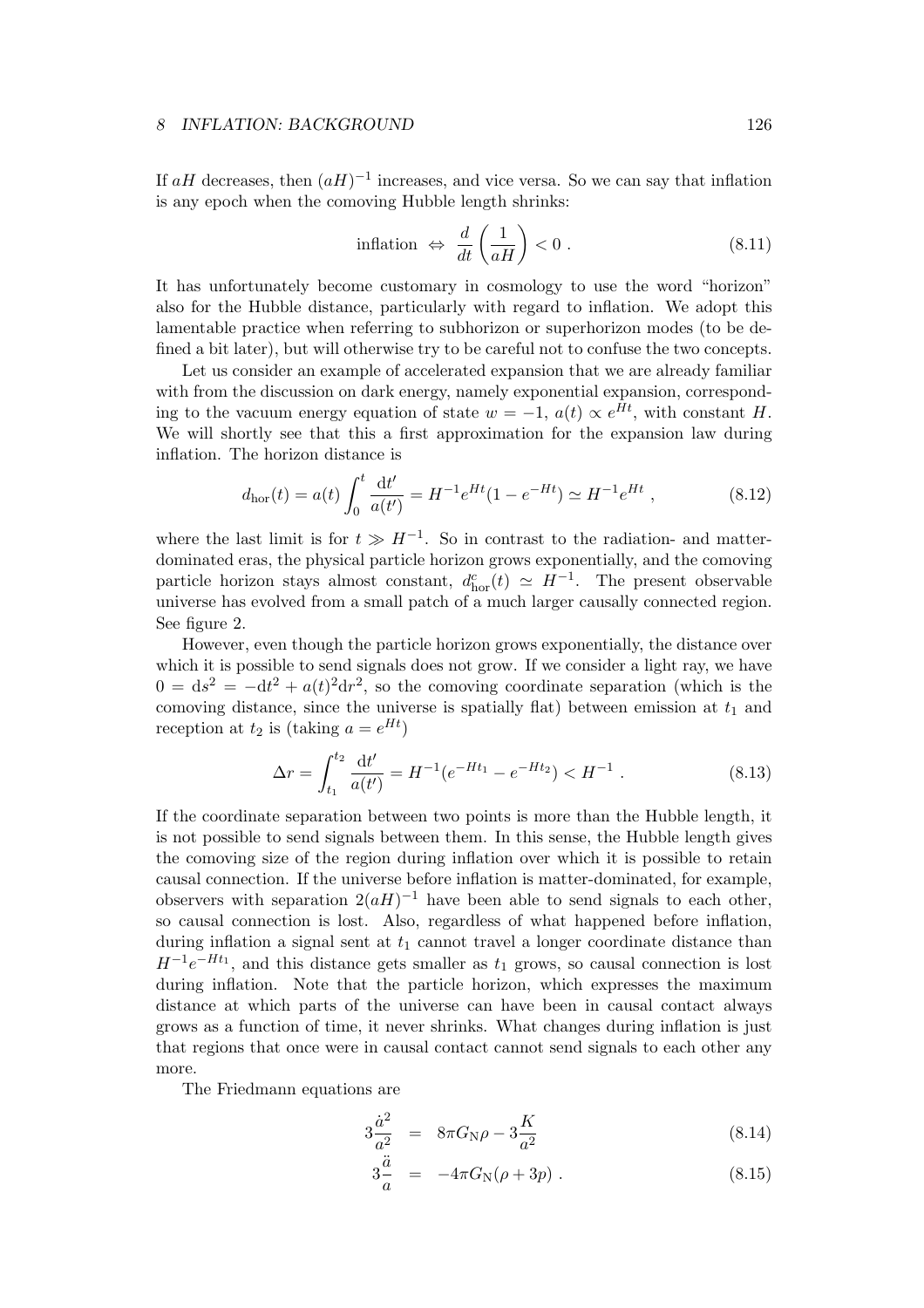If  $aH$  decreases, then  $(aH)^{-1}$  increases, and vice versa. So we can say that inflation is any epoch when the comoving Hubble length shrinks:

$$
\text{inflation} \Leftrightarrow \frac{d}{dt} \left( \frac{1}{aH} \right) < 0 \,. \tag{8.11}
$$

It has unfortunately become customary in cosmology to use the word "horizon" also for the Hubble distance, particularly with regard to inflation. We adopt this lamentable practice when referring to subhorizon or superhorizon modes (to be defined a bit later), but will otherwise try to be careful not to confuse the two concepts.

Let us consider an example of accelerated expansion that we are already familiar with from the discussion on dark energy, namely exponential expansion, corresponding to the vacuum energy equation of state  $w = -1$ ,  $a(t) \propto e^{Ht}$ , with constant H. We will shortly see that this a first approximation for the expansion law during inflation. The horizon distance is

$$
d_{\rm hor}(t) = a(t) \int_0^t \frac{\mathrm{d}t'}{a(t')} = H^{-1} e^{Ht} (1 - e^{-Ht}) \simeq H^{-1} e^{Ht} , \qquad (8.12)
$$

where the last limit is for  $t \gg H^{-1}$ . So in contrast to the radiation- and matterdominated eras, the physical particle horizon grows exponentially, and the comoving particle horizon stays almost constant,  $d_{\text{hor}}^c(t) \simeq H^{-1}$ . The present observable universe has evolved from a small patch of a much larger causally connected region. See figure 2.

However, even though the particle horizon grows exponentially, the distance over which it is possible to send signals does not grow. If we consider a light ray, we have  $0 = ds^2 = -dt^2 + a(t)^2 dr^2$ , so the comoving coordinate separation (which is the comoving distance, since the universe is spatially flat) between emission at  $t_1$  and reception at  $t_2$  is (taking  $a = e^{Ht}$ )

$$
\Delta r = \int_{t_1}^{t_2} \frac{\mathrm{d}t'}{a(t')} = H^{-1}(e^{-Ht_1} - e^{-Ht_2}) < H^{-1} \tag{8.13}
$$

If the coordinate separation between two points is more than the Hubble length, it is not possible to send signals between them. In this sense, the Hubble length gives the comoving size of the region during inflation over which it is possible to retain causal connection. If the universe before inflation is matter-dominated, for example, observers with separation  $2(aH)^{-1}$  have been able to send signals to each other, so causal connection is lost. Also, regardless of what happened before inflation, during inflation a signal sent at  $t_1$  cannot travel a longer coordinate distance than  $H^{-1}e^{-Ht_1}$ , and this distance gets smaller as  $t_1$  grows, so causal connection is lost during inflation. Note that the particle horizon, which expresses the maximum distance at which parts of the universe can have been in causal contact always grows as a function of time, it never shrinks. What changes during inflation is just that regions that once were in causal contact cannot send signals to each other any more.

The Friedmann equations are

$$
3\frac{\dot{a}^2}{a^2} = 8\pi G_N \rho - 3\frac{K}{a^2}
$$
 (8.14)

$$
3\frac{\ddot{a}}{a} = -4\pi G_{\rm N}(\rho + 3p) \ . \tag{8.15}
$$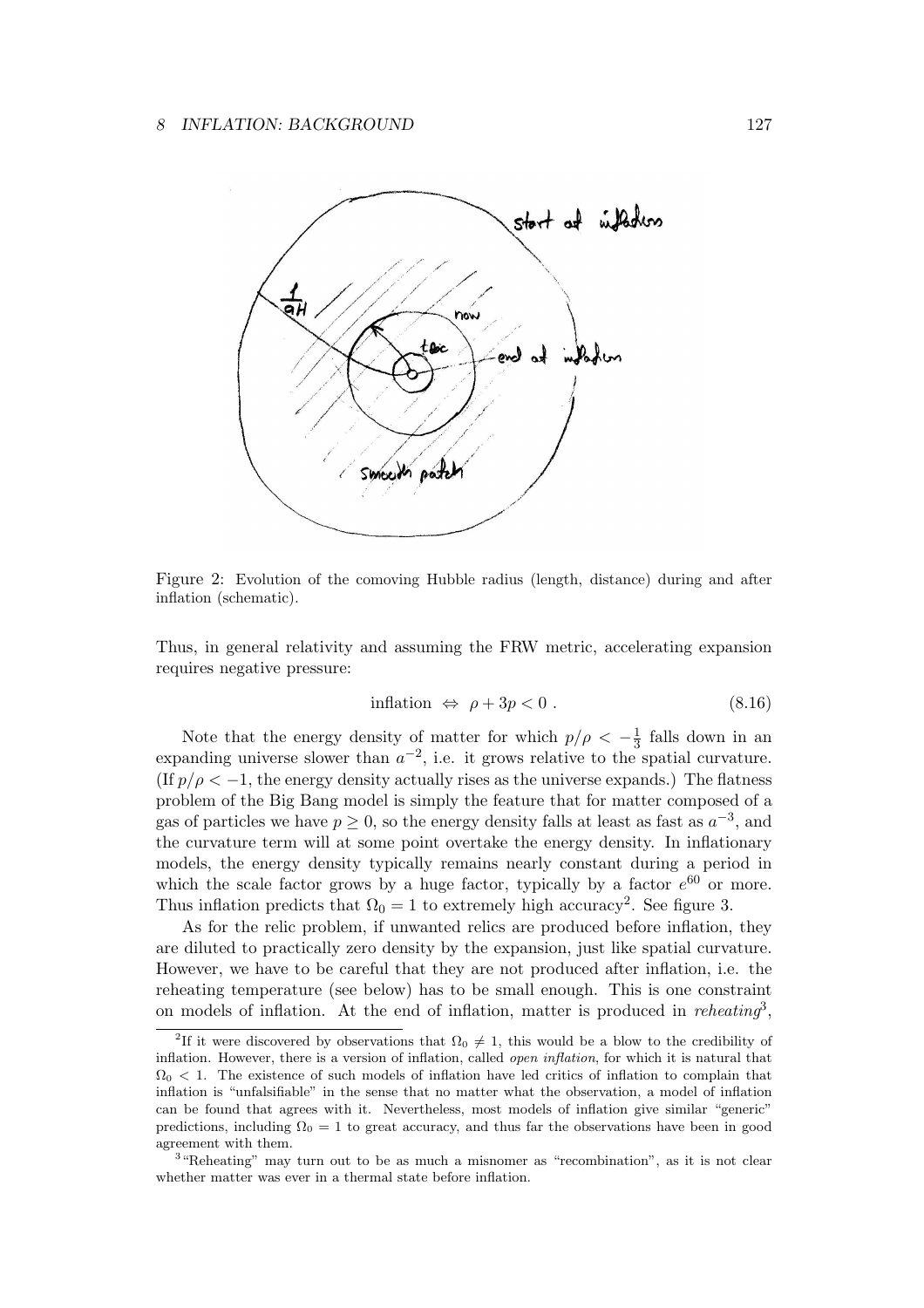

Figure 2: Evolution of the comoving Hubble radius (length, distance) during and after inflation (schematic).

Thus, in general relativity and assuming the FRW metric, accelerating expansion requires negative pressure:

$$
inflation \Leftrightarrow \rho + 3p < 0 \tag{8.16}
$$

Note that the energy density of matter for which  $p/\rho < -\frac{1}{3}$  $\frac{1}{3}$  falls down in an expanding universe slower than  $a^{-2}$ , i.e. it grows relative to the spatial curvature. (If  $p/\rho < -1$ , the energy density actually rises as the universe expands.) The flatness problem of the Big Bang model is simply the feature that for matter composed of a gas of particles we have  $p \ge 0$ , so the energy density falls at least as fast as  $a^{-3}$ , and the curvature term will at some point overtake the energy density. In inflationary models, the energy density typically remains nearly constant during a period in which the scale factor grows by a huge factor, typically by a factor  $e^{60}$  or more. Thus inflation predicts that  $\Omega_0 = 1$  to extremely high accuracy<sup>2</sup>. See figure 3.

As for the relic problem, if unwanted relics are produced before inflation, they are diluted to practically zero density by the expansion, just like spatial curvature. However, we have to be careful that they are not produced after inflation, i.e. the reheating temperature (see below) has to be small enough. This is one constraint on models of inflation. At the end of inflation, matter is produced in *reheating*<sup>3</sup>,

<sup>&</sup>lt;sup>2</sup>If it were discovered by observations that  $\Omega_0 \neq 1$ , this would be a blow to the credibility of inflation. However, there is a version of inflation, called open inflation, for which it is natural that  $\Omega_0$  < 1. The existence of such models of inflation have led critics of inflation to complain that inflation is "unfalsifiable" in the sense that no matter what the observation, a model of inflation can be found that agrees with it. Nevertheless, most models of inflation give similar "generic" predictions, including  $\Omega_0 = 1$  to great accuracy, and thus far the observations have been in good agreement with them.

<sup>&</sup>lt;sup>3</sup> "Reheating" may turn out to be as much a misnomer as "recombination", as it is not clear whether matter was ever in a thermal state before inflation.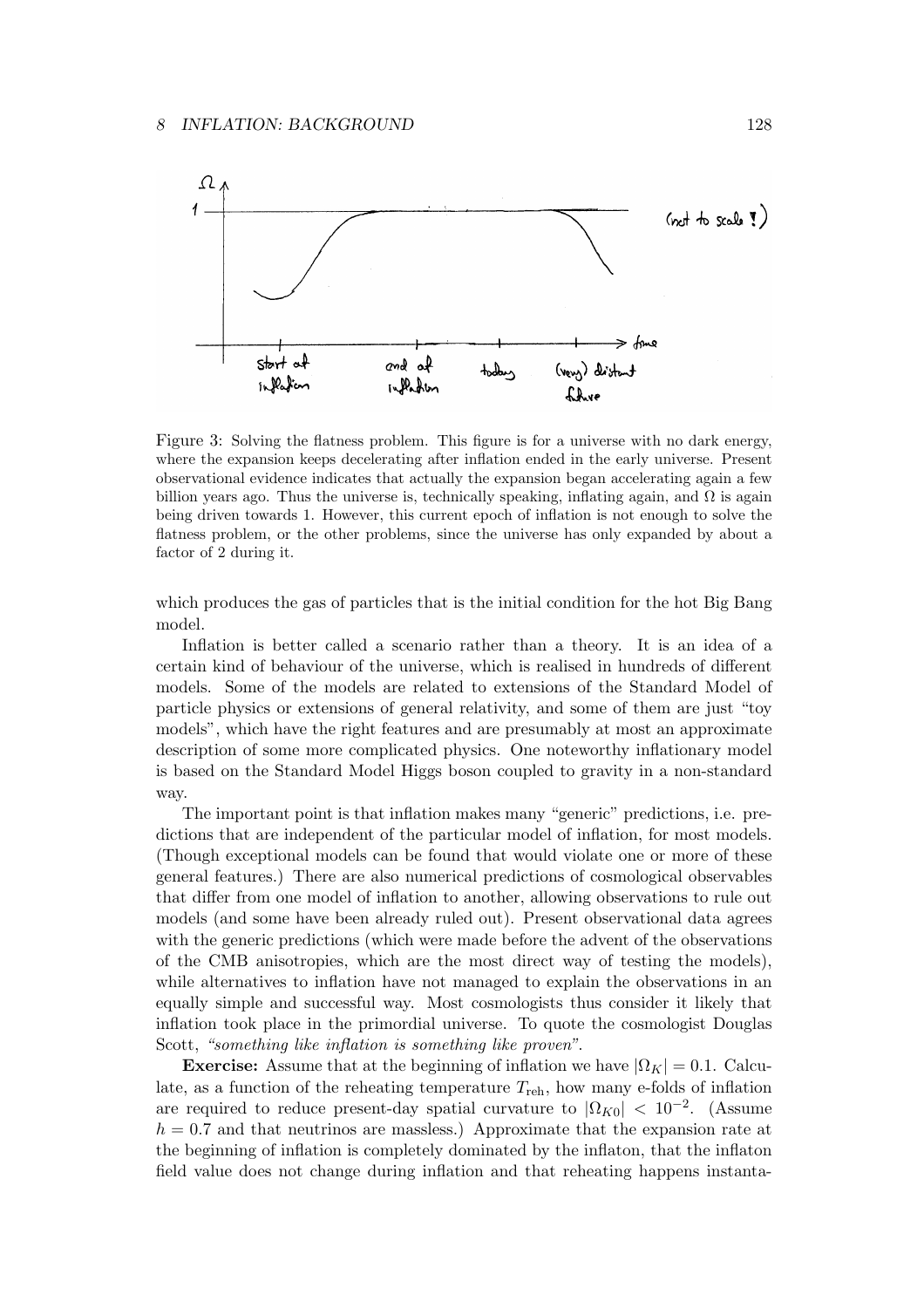

Figure 3: Solving the flatness problem. This figure is for a universe with no dark energy, where the expansion keeps decelerating after inflation ended in the early universe. Present observational evidence indicates that actually the expansion began accelerating again a few billion years ago. Thus the universe is, technically speaking, inflating again, and  $\Omega$  is again being driven towards 1. However, this current epoch of inflation is not enough to solve the flatness problem, or the other problems, since the universe has only expanded by about a factor of 2 during it.

which produces the gas of particles that is the initial condition for the hot Big Bang model.

Inflation is better called a scenario rather than a theory. It is an idea of a certain kind of behaviour of the universe, which is realised in hundreds of different models. Some of the models are related to extensions of the Standard Model of particle physics or extensions of general relativity, and some of them are just "toy models", which have the right features and are presumably at most an approximate description of some more complicated physics. One noteworthy inflationary model is based on the Standard Model Higgs boson coupled to gravity in a non-standard way.

The important point is that inflation makes many "generic" predictions, i.e. predictions that are independent of the particular model of inflation, for most models. (Though exceptional models can be found that would violate one or more of these general features.) There are also numerical predictions of cosmological observables that differ from one model of inflation to another, allowing observations to rule out models (and some have been already ruled out). Present observational data agrees with the generic predictions (which were made before the advent of the observations of the CMB anisotropies, which are the most direct way of testing the models), while alternatives to inflation have not managed to explain the observations in an equally simple and successful way. Most cosmologists thus consider it likely that inflation took place in the primordial universe. To quote the cosmologist Douglas Scott, "something like inflation is something like proven".

**Exercise:** Assume that at the beginning of inflation we have  $|\Omega_K| = 0.1$ . Calculate, as a function of the reheating temperature  $T_{\text{reh}}$ , how many e-folds of inflation are required to reduce present-day spatial curvature to  $|\Omega_{K0}| < 10^{-2}$ . (Assume  $h = 0.7$  and that neutrinos are massless.) Approximate that the expansion rate at the beginning of inflation is completely dominated by the inflaton, that the inflaton field value does not change during inflation and that reheating happens instanta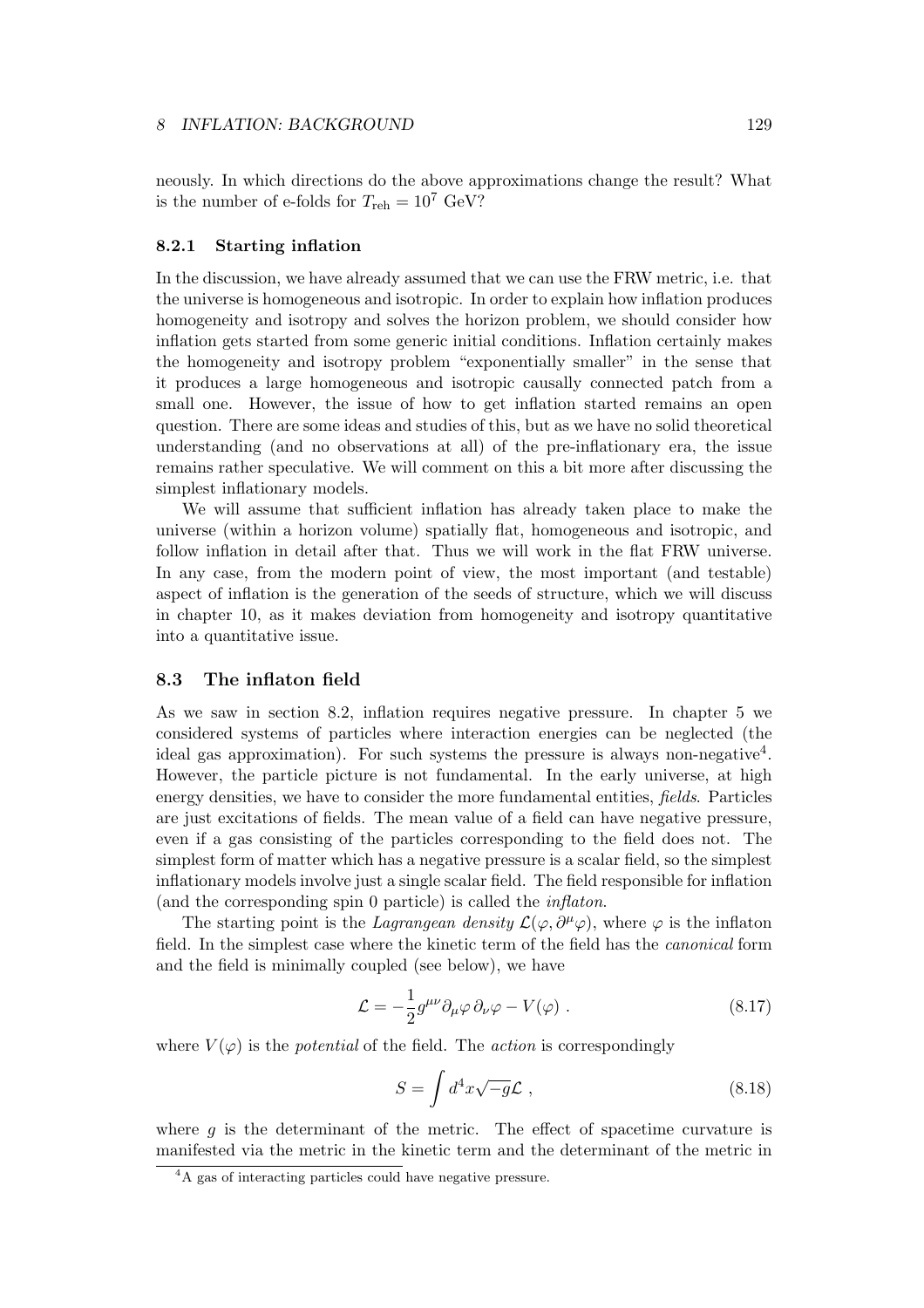neously. In which directions do the above approximations change the result? What is the number of e-folds for  $T_{\text{reh}} = 10^7 \text{ GeV}$ ?

## 8.2.1 Starting inflation

In the discussion, we have already assumed that we can use the FRW metric, i.e. that the universe is homogeneous and isotropic. In order to explain how inflation produces homogeneity and isotropy and solves the horizon problem, we should consider how inflation gets started from some generic initial conditions. Inflation certainly makes the homogeneity and isotropy problem "exponentially smaller" in the sense that it produces a large homogeneous and isotropic causally connected patch from a small one. However, the issue of how to get inflation started remains an open question. There are some ideas and studies of this, but as we have no solid theoretical understanding (and no observations at all) of the pre-inflationary era, the issue remains rather speculative. We will comment on this a bit more after discussing the simplest inflationary models.

We will assume that sufficient inflation has already taken place to make the universe (within a horizon volume) spatially flat, homogeneous and isotropic, and follow inflation in detail after that. Thus we will work in the flat FRW universe. In any case, from the modern point of view, the most important (and testable) aspect of inflation is the generation of the seeds of structure, which we will discuss in chapter 10, as it makes deviation from homogeneity and isotropy quantitative into a quantitative issue.

## 8.3 The inflaton field

As we saw in section 8.2, inflation requires negative pressure. In chapter 5 we considered systems of particles where interaction energies can be neglected (the ideal gas approximation). For such systems the pressure is always non-negative<sup>4</sup>. However, the particle picture is not fundamental. In the early universe, at high energy densities, we have to consider the more fundamental entities, fields. Particles are just excitations of fields. The mean value of a field can have negative pressure, even if a gas consisting of the particles corresponding to the field does not. The simplest form of matter which has a negative pressure is a scalar field, so the simplest inflationary models involve just a single scalar field. The field responsible for inflation (and the corresponding spin 0 particle) is called the inflaton.

The starting point is the Lagrangean density  $\mathcal{L}(\varphi, \partial^{\mu}\varphi)$ , where  $\varphi$  is the inflaton field. In the simplest case where the kinetic term of the field has the canonical form and the field is minimally coupled (see below), we have

$$
\mathcal{L} = -\frac{1}{2}g^{\mu\nu}\partial_{\mu}\varphi\,\partial_{\nu}\varphi - V(\varphi) \; . \tag{8.17}
$$

where  $V(\varphi)$  is the *potential* of the field. The *action* is correspondingly

$$
S = \int d^4x \sqrt{-g} \mathcal{L} \,, \tag{8.18}
$$

where  $g$  is the determinant of the metric. The effect of spacetime curvature is manifested via the metric in the kinetic term and the determinant of the metric in

<sup>&</sup>lt;sup>4</sup>A gas of interacting particles could have negative pressure.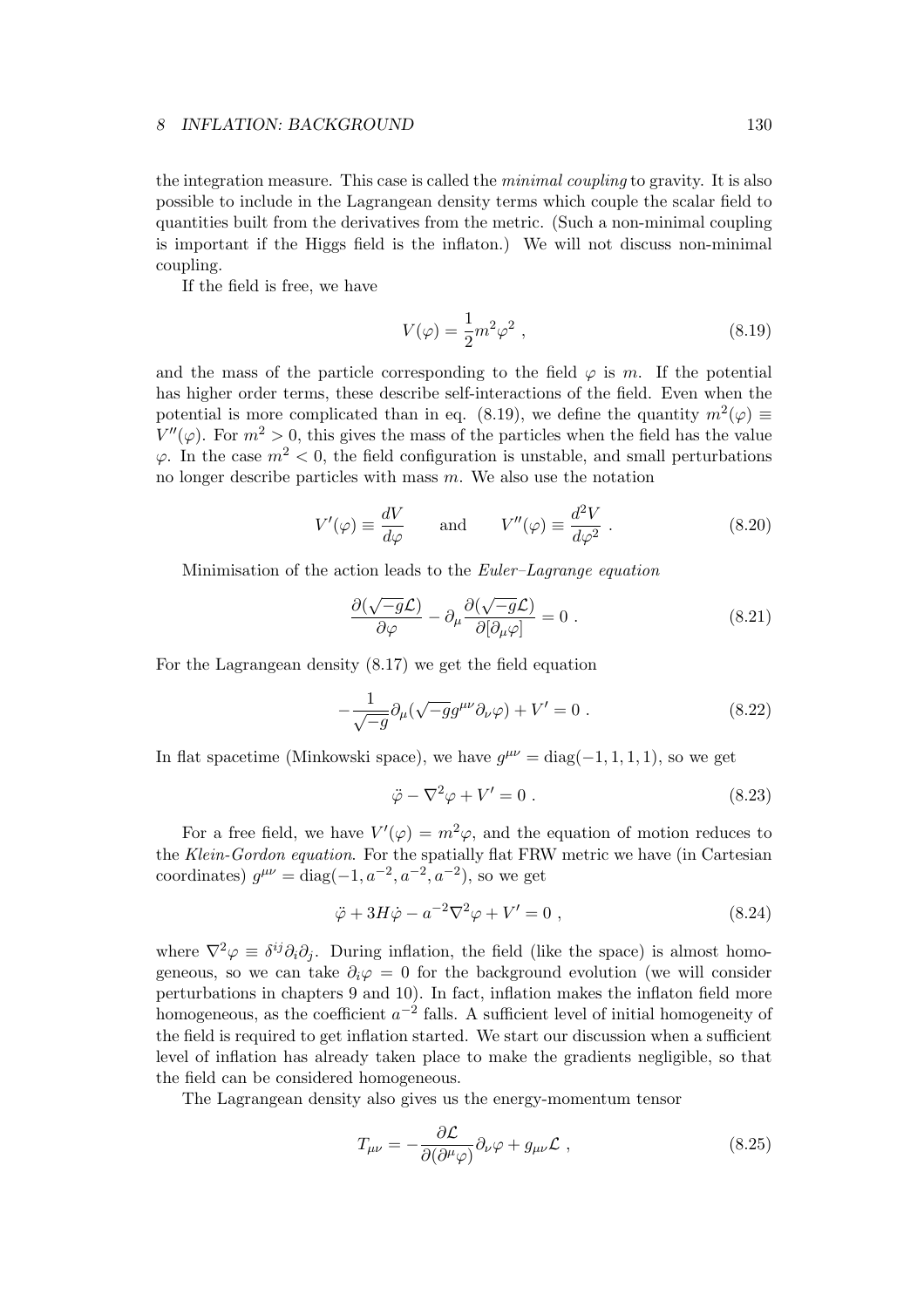the integration measure. This case is called the minimal coupling to gravity. It is also possible to include in the Lagrangean density terms which couple the scalar field to quantities built from the derivatives from the metric. (Such a non-minimal coupling is important if the Higgs field is the inflaton.) We will not discuss non-minimal coupling.

If the field is free, we have

$$
V(\varphi) = \frac{1}{2}m^2\varphi^2 \tag{8.19}
$$

and the mass of the particle corresponding to the field  $\varphi$  is m. If the potential has higher order terms, these describe self-interactions of the field. Even when the potential is more complicated than in eq. (8.19), we define the quantity  $m^2(\varphi) \equiv$  $V''(\varphi)$ . For  $m^2 > 0$ , this gives the mass of the particles when the field has the value  $\varphi$ . In the case  $m^2 < 0$ , the field configuration is unstable, and small perturbations no longer describe particles with mass  $m$ . We also use the notation

$$
V'(\varphi) \equiv \frac{dV}{d\varphi} \quad \text{and} \quad V''(\varphi) \equiv \frac{d^2V}{d\varphi^2} \ . \tag{8.20}
$$

Minimisation of the action leads to the *Euler–Lagrange equation* 

$$
\frac{\partial(\sqrt{-g}\mathcal{L})}{\partial\varphi} - \partial_{\mu}\frac{\partial(\sqrt{-g}\mathcal{L})}{\partial[\partial_{\mu}\varphi]} = 0.
$$
 (8.21)

For the Lagrangean density (8.17) we get the field equation

$$
-\frac{1}{\sqrt{-g}}\partial_{\mu}(\sqrt{-g}g^{\mu\nu}\partial_{\nu}\varphi) + V' = 0.
$$
 (8.22)

In flat spacetime (Minkowski space), we have  $g^{\mu\nu} = \text{diag}(-1, 1, 1, 1)$ , so we get

$$
\ddot{\varphi} - \nabla^2 \varphi + V' = 0.
$$
\n(8.23)

For a free field, we have  $V'(\varphi) = m^2 \varphi$ , and the equation of motion reduces to the Klein-Gordon equation. For the spatially flat FRW metric we have (in Cartesian coordinates)  $g^{\mu\nu} = \text{diag}(-1, a^{-2}, a^{-2}, a^{-2})$ , so we get

$$
\ddot{\varphi} + 3H\dot{\varphi} - a^{-2}\nabla^2\varphi + V' = 0 , \qquad (8.24)
$$

where  $\nabla^2 \varphi \equiv \delta^{ij} \partial_i \partial_j$ . During inflation, the field (like the space) is almost homogeneous, so we can take  $\partial_i \varphi = 0$  for the background evolution (we will consider perturbations in chapters 9 and 10). In fact, inflation makes the inflaton field more homogeneous, as the coefficient  $a^{-2}$  falls. A sufficient level of initial homogeneity of the field is required to get inflation started. We start our discussion when a sufficient level of inflation has already taken place to make the gradients negligible, so that the field can be considered homogeneous.

The Lagrangean density also gives us the energy-momentum tensor

$$
T_{\mu\nu} = -\frac{\partial \mathcal{L}}{\partial(\partial^{\mu}\varphi)}\partial_{\nu}\varphi + g_{\mu\nu}\mathcal{L} , \qquad (8.25)
$$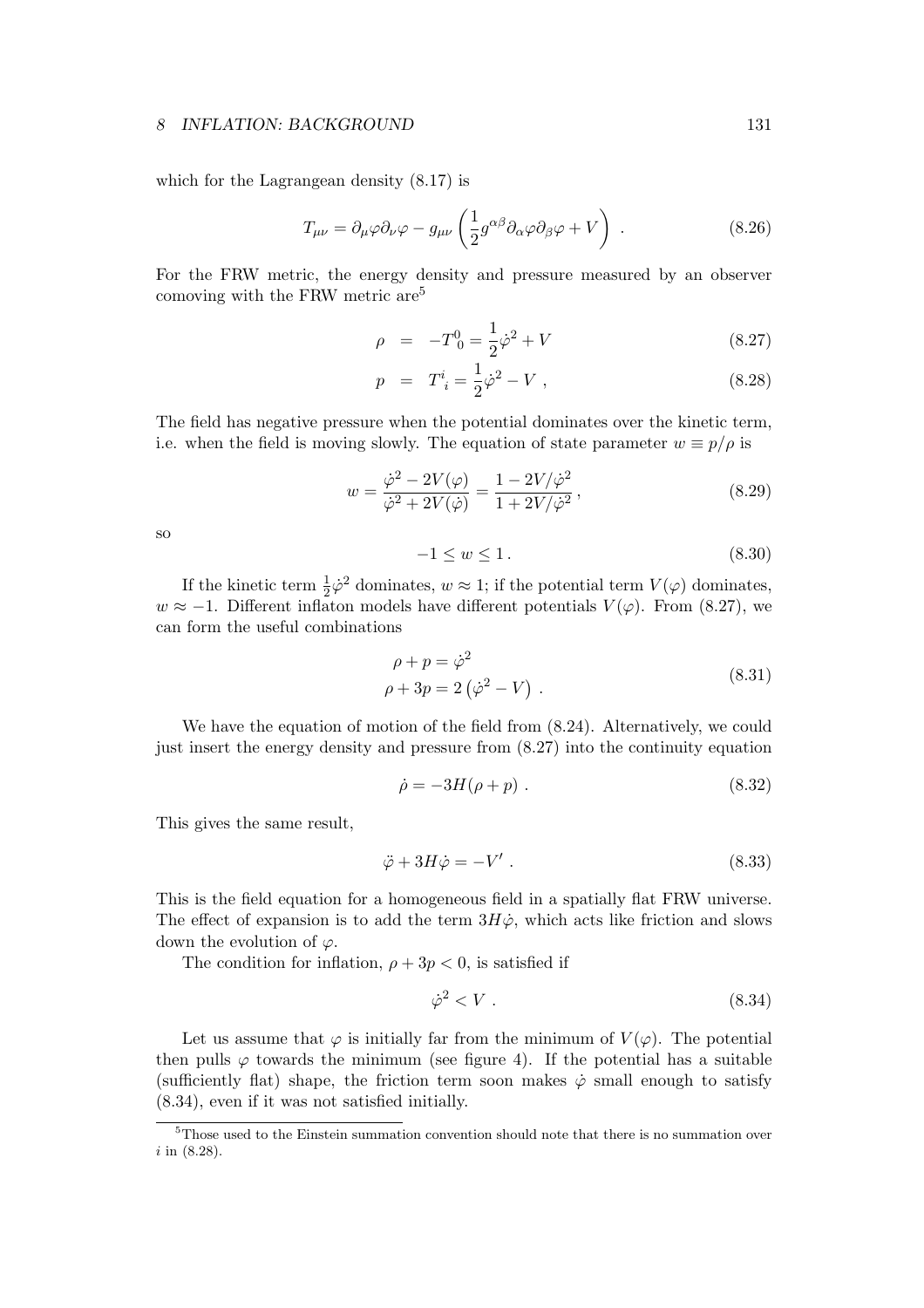which for the Lagrangean density (8.17) is

$$
T_{\mu\nu} = \partial_{\mu}\varphi \partial_{\nu}\varphi - g_{\mu\nu}\left(\frac{1}{2}g^{\alpha\beta}\partial_{\alpha}\varphi \partial_{\beta}\varphi + V\right) \tag{8.26}
$$

For the FRW metric, the energy density and pressure measured by an observer comoving with the FRW metric are<sup>5</sup>

$$
\rho = -T_0^0 = \frac{1}{2}\dot{\varphi}^2 + V \tag{8.27}
$$

$$
p = T^i_{\;i} = \frac{1}{2}\dot{\varphi}^2 - V \; , \tag{8.28}
$$

The field has negative pressure when the potential dominates over the kinetic term, i.e. when the field is moving slowly. The equation of state parameter  $w \equiv p/\rho$  is

$$
w = \frac{\dot{\varphi}^2 - 2V(\varphi)}{\dot{\varphi}^2 + 2V(\dot{\varphi})} = \frac{1 - 2V/\dot{\varphi}^2}{1 + 2V/\dot{\varphi}^2},
$$
\n(8.29)

so

$$
-1 \le w \le 1. \tag{8.30}
$$

If the kinetic term  $\frac{1}{2}\dot{\varphi}^2$  dominates,  $w \approx 1$ ; if the potential term  $V(\varphi)$  dominates,  $w \approx -1$ . Different inflaton models have different potentials  $V(\varphi)$ . From (8.27), we can form the useful combinations

$$
\rho + p = \dot{\varphi}^2
$$
  
\n
$$
\rho + 3p = 2(\dot{\varphi}^2 - V) .
$$
\n(8.31)

We have the equation of motion of the field from (8.24). Alternatively, we could just insert the energy density and pressure from (8.27) into the continuity equation

$$
\dot{\rho} = -3H(\rho + p) \tag{8.32}
$$

This gives the same result,

$$
\ddot{\varphi} + 3H\dot{\varphi} = -V' \ . \tag{8.33}
$$

This is the field equation for a homogeneous field in a spatially flat FRW universe. The effect of expansion is to add the term  $3H\dot{\varphi}$ , which acts like friction and slows down the evolution of  $\varphi$ .

The condition for inflation,  $\rho + 3p < 0$ , is satisfied if

$$
\dot{\varphi}^2 < V \tag{8.34}
$$

Let us assume that  $\varphi$  is initially far from the minimum of  $V(\varphi)$ . The potential then pulls  $\varphi$  towards the minimum (see figure 4). If the potential has a suitable (sufficiently flat) shape, the friction term soon makes  $\dot{\varphi}$  small enough to satisfy (8.34), even if it was not satisfied initially.

<sup>5</sup>Those used to the Einstein summation convention should note that there is no summation over i in (8.28).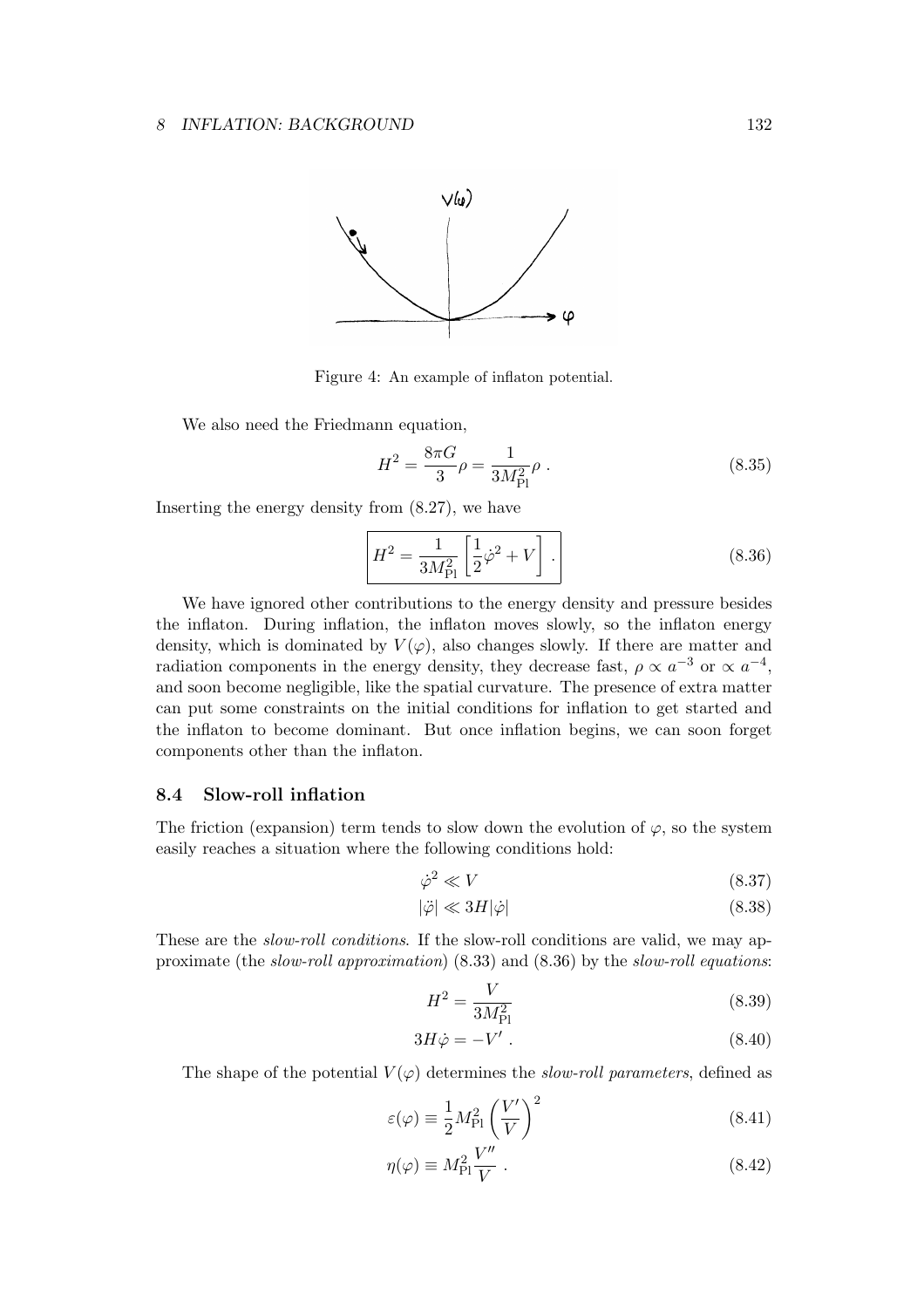

Figure 4: An example of inflaton potential.

We also need the Friedmann equation,

$$
H^2 = \frac{8\pi G}{3}\rho = \frac{1}{3M_{\rm Pl}^2}\rho \tag{8.35}
$$

Inserting the energy density from (8.27), we have

$$
H^{2} = \frac{1}{3M_{\rm Pl}^{2}} \left[ \frac{1}{2} \dot{\varphi}^{2} + V \right].
$$
 (8.36)

We have ignored other contributions to the energy density and pressure besides the inflaton. During inflation, the inflaton moves slowly, so the inflaton energy density, which is dominated by  $V(\varphi)$ , also changes slowly. If there are matter and radiation components in the energy density, they decrease fast,  $\rho \propto a^{-3}$  or  $\propto a^{-4}$ , and soon become negligible, like the spatial curvature. The presence of extra matter can put some constraints on the initial conditions for inflation to get started and the inflaton to become dominant. But once inflation begins, we can soon forget components other than the inflaton.

## 8.4 Slow-roll inflation

The friction (expansion) term tends to slow down the evolution of  $\varphi$ , so the system easily reaches a situation where the following conditions hold:

$$
\dot{\varphi}^2 \ll V \tag{8.37}
$$

$$
|\ddot{\varphi}| \ll 3H|\dot{\varphi}| \tag{8.38}
$$

These are the *slow-roll conditions*. If the slow-roll conditions are valid, we may approximate (the slow-roll approximation) (8.33) and (8.36) by the slow-roll equations:

$$
H^2 = \frac{V}{3M_{\rm Pl}^2} \tag{8.39}
$$

$$
3H\dot{\varphi} = -V' \ . \tag{8.40}
$$

The shape of the potential  $V(\varphi)$  determines the slow-roll parameters, defined as

$$
\varepsilon(\varphi) \equiv \frac{1}{2} M_{\rm Pl}^2 \left(\frac{V'}{V}\right)^2 \tag{8.41}
$$

$$
\eta(\varphi) \equiv M_{\rm Pl}^2 \frac{V''}{V} \ . \tag{8.42}
$$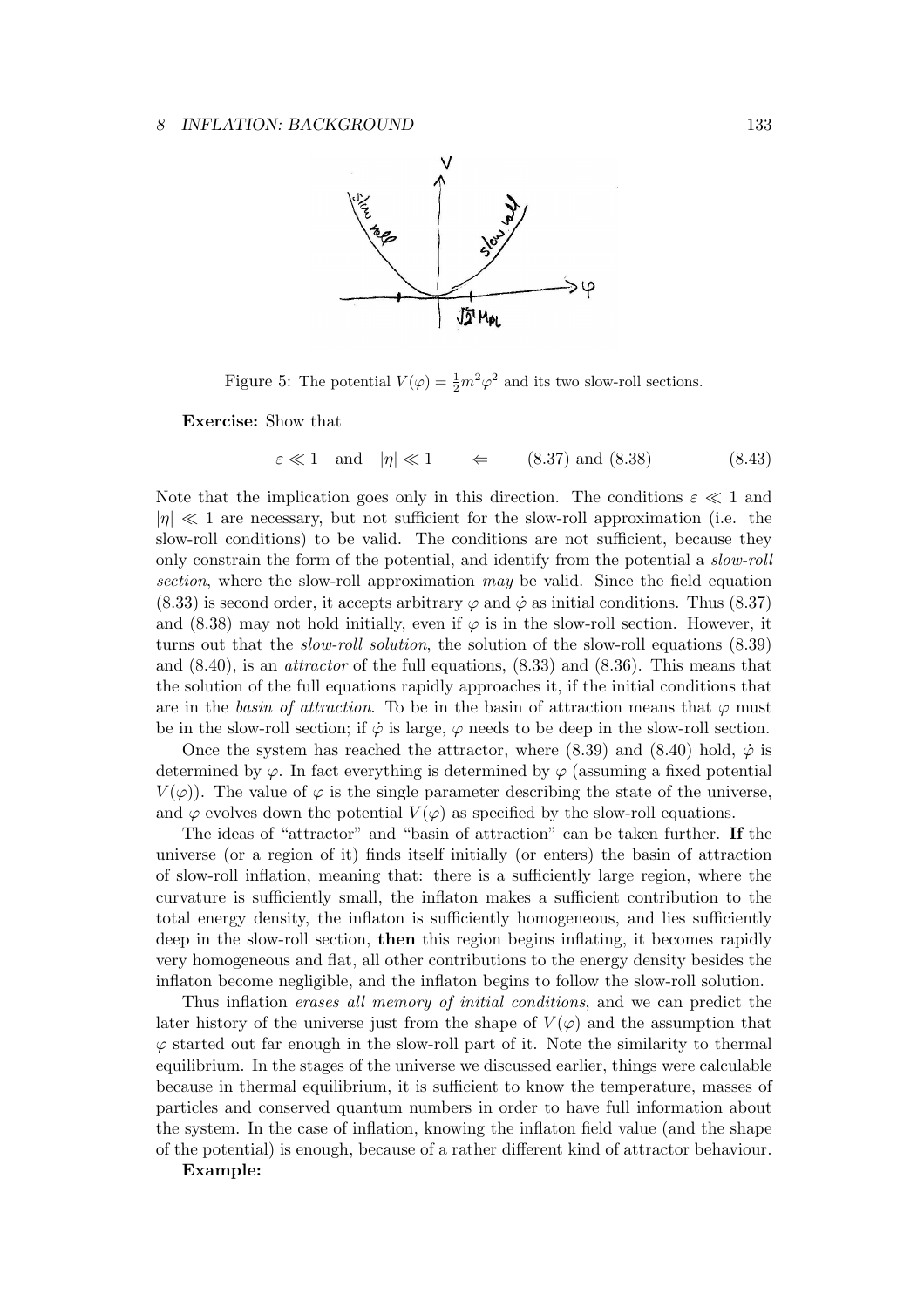

Figure 5: The potential  $V(\varphi) = \frac{1}{2}m^2\varphi^2$  and its two slow-roll sections.

Exercise: Show that

$$
\varepsilon \ll 1 \quad \text{and} \quad |\eta| \ll 1 \qquad \Leftarrow \qquad (8.37) \text{ and } (8.38) \tag{8.43}
$$

Note that the implication goes only in this direction. The conditions  $\varepsilon \ll 1$  and  $|\eta| \ll 1$  are necessary, but not sufficient for the slow-roll approximation (i.e. the slow-roll conditions) to be valid. The conditions are not sufficient, because they only constrain the form of the potential, and identify from the potential a *slow-roll* section, where the slow-roll approximation may be valid. Since the field equation (8.33) is second order, it accepts arbitrary  $\varphi$  and  $\dot{\varphi}$  as initial conditions. Thus (8.37) and  $(8.38)$  may not hold initially, even if  $\varphi$  is in the slow-roll section. However, it turns out that the *slow-roll solution*, the solution of the slow-roll equations (8.39) and (8.40), is an attractor of the full equations, (8.33) and (8.36). This means that the solution of the full equations rapidly approaches it, if the initial conditions that are in the basin of attraction. To be in the basin of attraction means that  $\varphi$  must be in the slow-roll section; if  $\dot{\varphi}$  is large,  $\varphi$  needs to be deep in the slow-roll section.

Once the system has reached the attractor, where (8.39) and (8.40) hold,  $\dot{\varphi}$  is determined by  $\varphi$ . In fact everything is determined by  $\varphi$  (assuming a fixed potential  $V(\varphi)$ . The value of  $\varphi$  is the single parameter describing the state of the universe, and  $\varphi$  evolves down the potential  $V(\varphi)$  as specified by the slow-roll equations.

The ideas of "attractor" and "basin of attraction" can be taken further. If the universe (or a region of it) finds itself initially (or enters) the basin of attraction of slow-roll inflation, meaning that: there is a sufficiently large region, where the curvature is sufficiently small, the inflaton makes a sufficient contribution to the total energy density, the inflaton is sufficiently homogeneous, and lies sufficiently deep in the slow-roll section, then this region begins inflating, it becomes rapidly very homogeneous and flat, all other contributions to the energy density besides the inflaton become negligible, and the inflaton begins to follow the slow-roll solution.

Thus inflation erases all memory of initial conditions, and we can predict the later history of the universe just from the shape of  $V(\varphi)$  and the assumption that  $\varphi$  started out far enough in the slow-roll part of it. Note the similarity to thermal equilibrium. In the stages of the universe we discussed earlier, things were calculable because in thermal equilibrium, it is sufficient to know the temperature, masses of particles and conserved quantum numbers in order to have full information about the system. In the case of inflation, knowing the inflaton field value (and the shape of the potential) is enough, because of a rather different kind of attractor behaviour.

#### Example: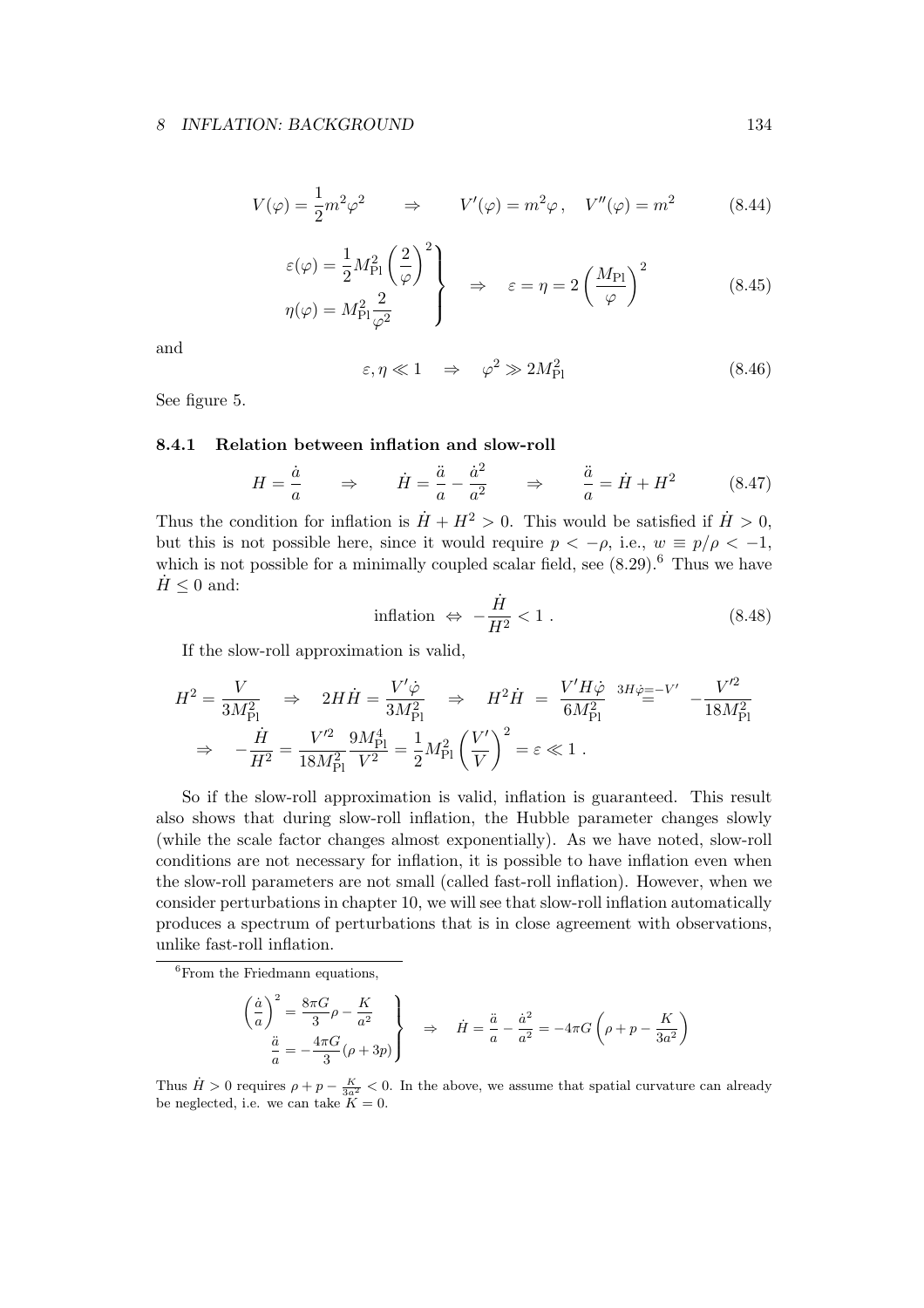$$
V(\varphi) = \frac{1}{2}m^2\varphi^2 \qquad \Rightarrow \qquad V'(\varphi) = m^2\varphi \,, \quad V''(\varphi) = m^2 \tag{8.44}
$$

$$
\varepsilon(\varphi) = \frac{1}{2} M_{\rm Pl}^2 \left(\frac{2}{\varphi}\right)^2
$$
\n
$$
\varphi(\varphi) = M_{\rm Pl}^2 \frac{2}{\varphi^2}
$$
\n
$$
\Rightarrow \varepsilon = \eta = 2 \left(\frac{M_{\rm Pl}}{\varphi}\right)^2 \tag{8.45}
$$

and

$$
\varepsilon, \eta \ll 1 \quad \Rightarrow \quad \varphi^2 \gg 2M_{\rm Pl}^2 \tag{8.46}
$$

See figure 5.

## 8.4.1 Relation between inflation and slow-roll

$$
H = \frac{\dot{a}}{a} \qquad \Rightarrow \qquad \dot{H} = \frac{\ddot{a}}{a} - \frac{\dot{a}^2}{a^2} \qquad \Rightarrow \qquad \frac{\ddot{a}}{a} = \dot{H} + H^2 \tag{8.47}
$$

Thus the condition for inflation is  $\dot{H} + H^2 > 0$ . This would be satisfied if  $\dot{H} > 0$ , but this is not possible here, since it would require  $p < -\rho$ , i.e.,  $w \equiv p/\rho < -1$ , which is not possible for a minimally coupled scalar field, see  $(8.29)$ .<sup>6</sup> Thus we have  $H \leq 0$  and:

$$
inflation \Leftrightarrow -\frac{\dot{H}}{H^2} < 1. \tag{8.48}
$$

If the slow-roll approximation is valid,

$$
H^{2} = \frac{V}{3M_{\text{Pl}}^{2}} \Rightarrow 2H\dot{H} = \frac{V'\dot{\varphi}}{3M_{\text{Pl}}^{2}} \Rightarrow H^{2}\dot{H} = \frac{V'H\dot{\varphi}}{6M_{\text{Pl}}^{2}} \stackrel{3H\dot{\varphi} = -V'}{=} -\frac{V'^{2}}{18M_{\text{Pl}}^{2}}
$$
  

$$
\Rightarrow -\frac{\dot{H}}{H^{2}} = \frac{V'^{2}}{18M_{\text{Pl}}^{2}} \frac{9M_{\text{Pl}}^{4}}{V^{2}} = \frac{1}{2}M_{\text{Pl}}^{2} \left(\frac{V'}{V}\right)^{2} = \varepsilon \ll 1.
$$

So if the slow-roll approximation is valid, inflation is guaranteed. This result also shows that during slow-roll inflation, the Hubble parameter changes slowly (while the scale factor changes almost exponentially). As we have noted, slow-roll conditions are not necessary for inflation, it is possible to have inflation even when the slow-roll parameters are not small (called fast-roll inflation). However, when we consider perturbations in chapter 10, we will see that slow-roll inflation automatically produces a spectrum of perturbations that is in close agreement with observations, unlike fast-roll inflation.

 ${}^{6}$ From the Friedmann equations,

$$
\left(\frac{\dot{a}}{a}\right)^2 = \frac{8\pi G}{3}\rho - \frac{K}{a^2}
$$
\n
$$
\frac{\ddot{a}}{a} = -\frac{4\pi G}{3}(\rho + 3p)
$$
\n
$$
\Rightarrow \quad \dot{H} = \frac{\ddot{a}}{a} - \frac{\dot{a}^2}{a^2} = -4\pi G\left(\rho + p - \frac{K}{3a^2}\right)
$$

Thus  $\dot{H} > 0$  requires  $\rho + p - \frac{K}{3a^2} < 0$ . In the above, we assume that spatial curvature can already be neglected, i.e. we can take  $K = 0$ .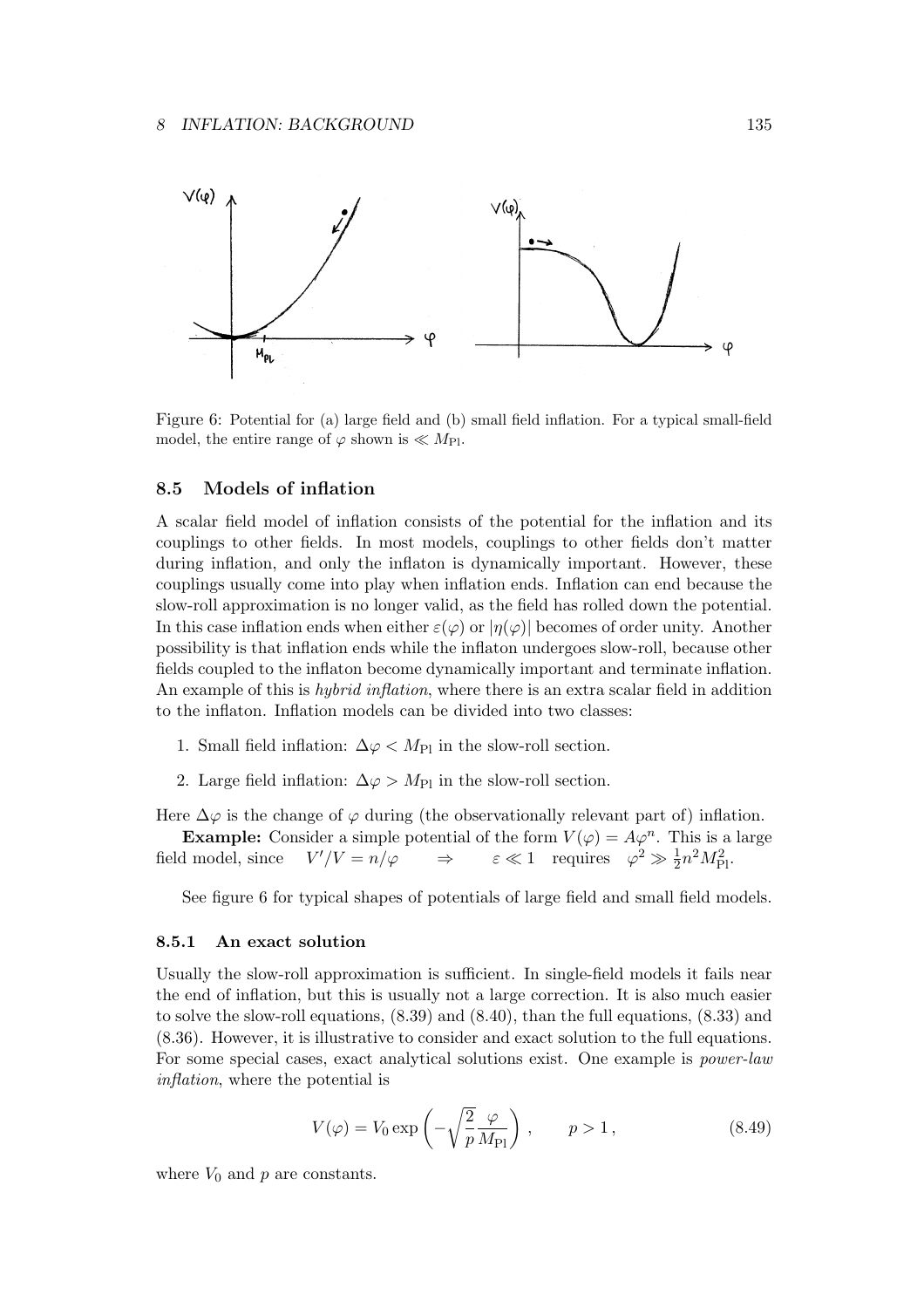

Figure 6: Potential for (a) large field and (b) small field inflation. For a typical small-field model, the entire range of  $\varphi$  shown is  $\ll M_{\rm Pl}$ .

## 8.5 Models of inflation

A scalar field model of inflation consists of the potential for the inflation and its couplings to other fields. In most models, couplings to other fields don't matter during inflation, and only the inflaton is dynamically important. However, these couplings usually come into play when inflation ends. Inflation can end because the slow-roll approximation is no longer valid, as the field has rolled down the potential. In this case inflation ends when either  $\varepsilon(\varphi)$  or  $|\eta(\varphi)|$  becomes of order unity. Another possibility is that inflation ends while the inflaton undergoes slow-roll, because other fields coupled to the inflaton become dynamically important and terminate inflation. An example of this is hybrid inflation, where there is an extra scalar field in addition to the inflaton. Inflation models can be divided into two classes:

- 1. Small field inflation:  $\Delta \varphi < M_{\text{Pl}}$  in the slow-roll section.
- 2. Large field inflation:  $\Delta \varphi > M_{\text{Pl}}$  in the slow-roll section.

Here  $\Delta\varphi$  is the change of  $\varphi$  during (the observationally relevant part of) inflation.

**Example:** Consider a simple potential of the form  $V(\varphi) = A\varphi^n$ . This is a large field model, since  $V'/V = n/\varphi \implies$  $\mathcal{C}/V = n/\varphi \Rightarrow \varepsilon \ll 1$  requires  $\varphi^2 \gg \frac{1}{2} n^2 M_{\text{Pl}}^2$ .

See figure 6 for typical shapes of potentials of large field and small field models.

## 8.5.1 An exact solution

Usually the slow-roll approximation is sufficient. In single-field models it fails near the end of inflation, but this is usually not a large correction. It is also much easier to solve the slow-roll equations, (8.39) and (8.40), than the full equations, (8.33) and (8.36). However, it is illustrative to consider and exact solution to the full equations. For some special cases, exact analytical solutions exist. One example is power-law inflation, where the potential is

$$
V(\varphi) = V_0 \exp\left(-\sqrt{\frac{2}{p}} \frac{\varphi}{M_{\text{Pl}}}\right), \qquad p > 1,\tag{8.49}
$$

where  $V_0$  and  $p$  are constants.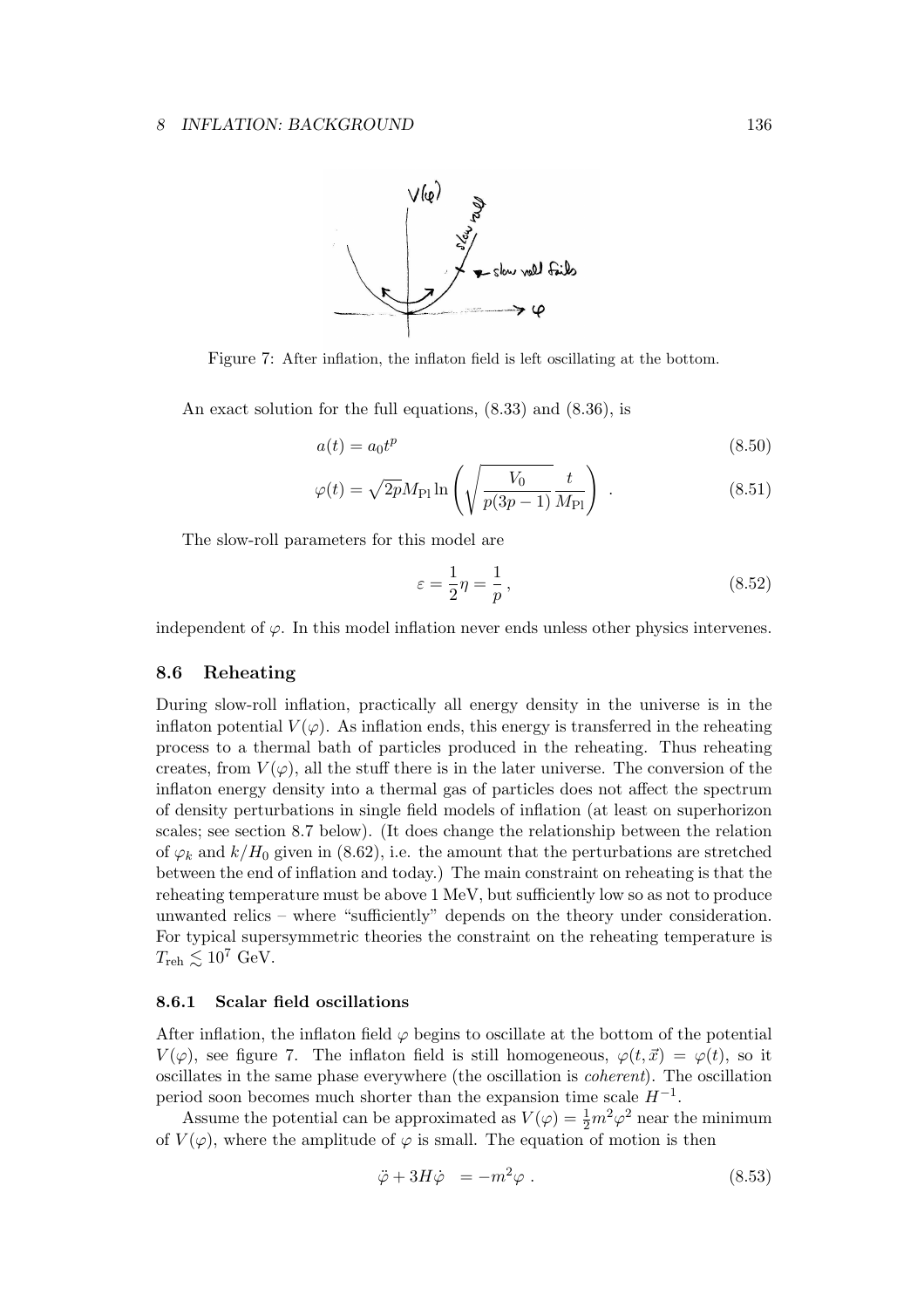

Figure 7: After inflation, the inflaton field is left oscillating at the bottom.

An exact solution for the full equations, (8.33) and (8.36), is

$$
a(t) = a_0 t^p \tag{8.50}
$$

$$
\varphi(t) = \sqrt{2p} M_{\rm Pl} \ln \left( \sqrt{\frac{V_0}{p(3p-1)}} \frac{t}{M_{\rm Pl}} \right) \,. \tag{8.51}
$$

The slow-roll parameters for this model are

$$
\varepsilon = \frac{1}{2}\eta = \frac{1}{p},\tag{8.52}
$$

independent of  $\varphi$ . In this model inflation never ends unless other physics intervenes.

## 8.6 Reheating

During slow-roll inflation, practically all energy density in the universe is in the inflaton potential  $V(\varphi)$ . As inflation ends, this energy is transferred in the reheating process to a thermal bath of particles produced in the reheating. Thus reheating creates, from  $V(\varphi)$ , all the stuff there is in the later universe. The conversion of the inflaton energy density into a thermal gas of particles does not affect the spectrum of density perturbations in single field models of inflation (at least on superhorizon scales; see section 8.7 below). (It does change the relationship between the relation of  $\varphi_k$  and  $k/H_0$  given in (8.62), i.e. the amount that the perturbations are stretched between the end of inflation and today.) The main constraint on reheating is that the reheating temperature must be above 1 MeV, but sufficiently low so as not to produce unwanted relics – where "sufficiently" depends on the theory under consideration. For typical supersymmetric theories the constraint on the reheating temperature is  $T_{\rm reh} \lesssim 10^7$  GeV.

### 8.6.1 Scalar field oscillations

After inflation, the inflaton field  $\varphi$  begins to oscillate at the bottom of the potential  $V(\varphi)$ , see figure 7. The inflaton field is still homogeneous,  $\varphi(t, \vec{x}) = \varphi(t)$ , so it oscillates in the same phase everywhere (the oscillation is coherent). The oscillation period soon becomes much shorter than the expansion time scale  $H^{-1}$ .

Assume the potential can be approximated as  $V(\varphi) = \frac{1}{2}m^2\varphi^2$  near the minimum of  $V(\varphi)$ , where the amplitude of  $\varphi$  is small. The equation of motion is then

$$
\ddot{\varphi} + 3H\dot{\varphi} = -m^2\varphi . \qquad (8.53)
$$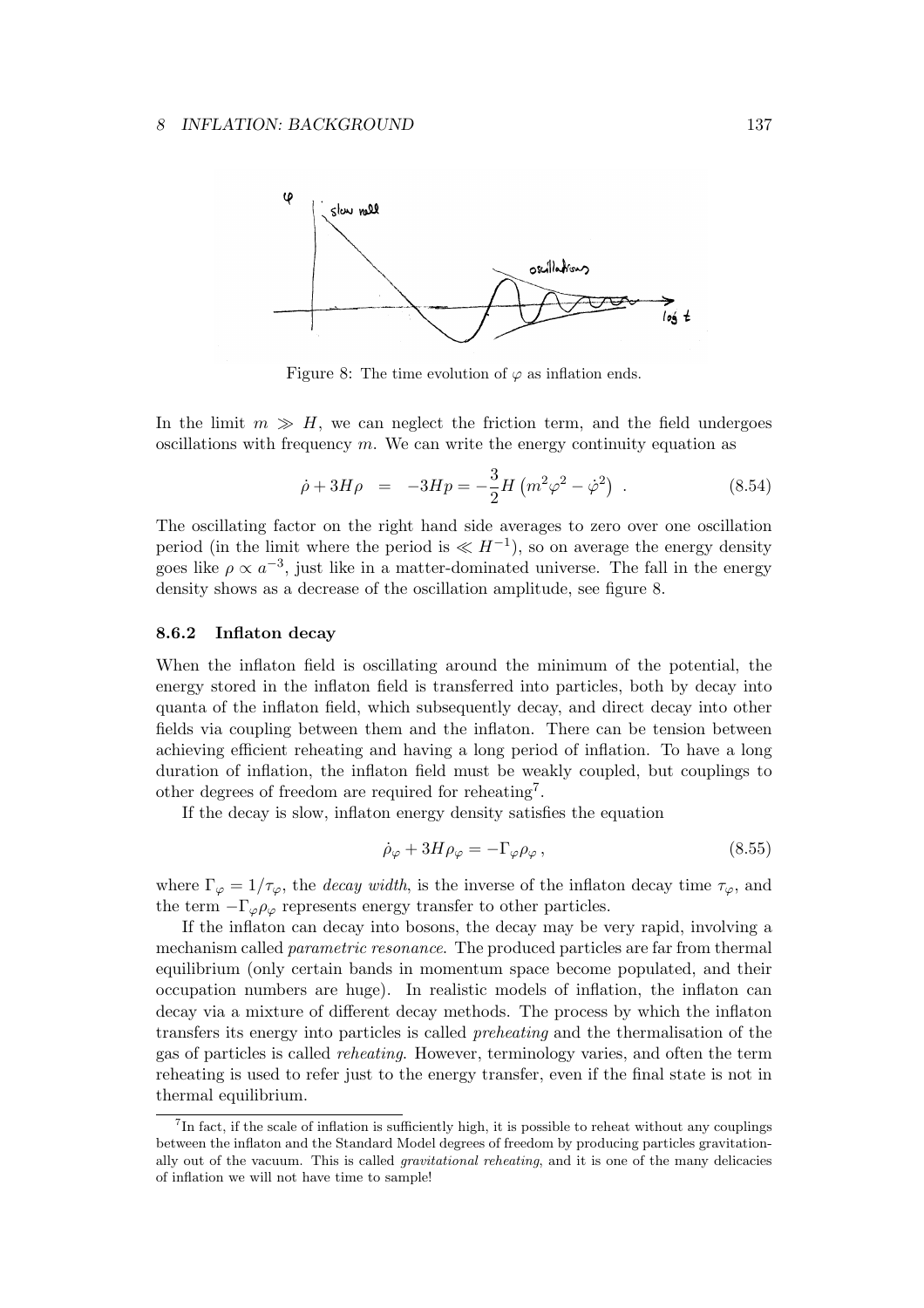

Figure 8: The time evolution of  $\varphi$  as inflation ends.

In the limit  $m \gg H$ , we can neglect the friction term, and the field undergoes oscillations with frequency  $m$ . We can write the energy continuity equation as

$$
\dot{\rho} + 3H\rho = -3Hp = -\frac{3}{2}H\left(m^2\varphi^2 - \dot{\varphi}^2\right) . \tag{8.54}
$$

The oscillating factor on the right hand side averages to zero over one oscillation period (in the limit where the period is  $\ll H^{-1}$ ), so on average the energy density goes like  $\rho \propto a^{-3}$ , just like in a matter-dominated universe. The fall in the energy density shows as a decrease of the oscillation amplitude, see figure 8.

#### 8.6.2 Inflaton decay

When the inflaton field is oscillating around the minimum of the potential, the energy stored in the inflaton field is transferred into particles, both by decay into quanta of the inflaton field, which subsequently decay, and direct decay into other fields via coupling between them and the inflaton. There can be tension between achieving efficient reheating and having a long period of inflation. To have a long duration of inflation, the inflaton field must be weakly coupled, but couplings to other degrees of freedom are required for reheating<sup>7</sup> .

If the decay is slow, inflaton energy density satisfies the equation

$$
\dot{\rho}_{\varphi} + 3H\rho_{\varphi} = -\Gamma_{\varphi}\rho_{\varphi} ,\qquad (8.55)
$$

where  $\Gamma_{\varphi} = 1/\tau_{\varphi}$ , the *decay width*, is the inverse of the inflaton decay time  $\tau_{\varphi}$ , and the term  $-\Gamma_{\varphi}\rho_{\varphi}$  represents energy transfer to other particles.

If the inflaton can decay into bosons, the decay may be very rapid, involving a mechanism called parametric resonance. The produced particles are far from thermal equilibrium (only certain bands in momentum space become populated, and their occupation numbers are huge). In realistic models of inflation, the inflaton can decay via a mixture of different decay methods. The process by which the inflaton transfers its energy into particles is called preheating and the thermalisation of the gas of particles is called reheating. However, terminology varies, and often the term reheating is used to refer just to the energy transfer, even if the final state is not in thermal equilibrium.

<sup>&</sup>lt;sup>7</sup>In fact, if the scale of inflation is sufficiently high, it is possible to reheat without any couplings between the inflaton and the Standard Model degrees of freedom by producing particles gravitationally out of the vacuum. This is called gravitational reheating, and it is one of the many delicacies of inflation we will not have time to sample!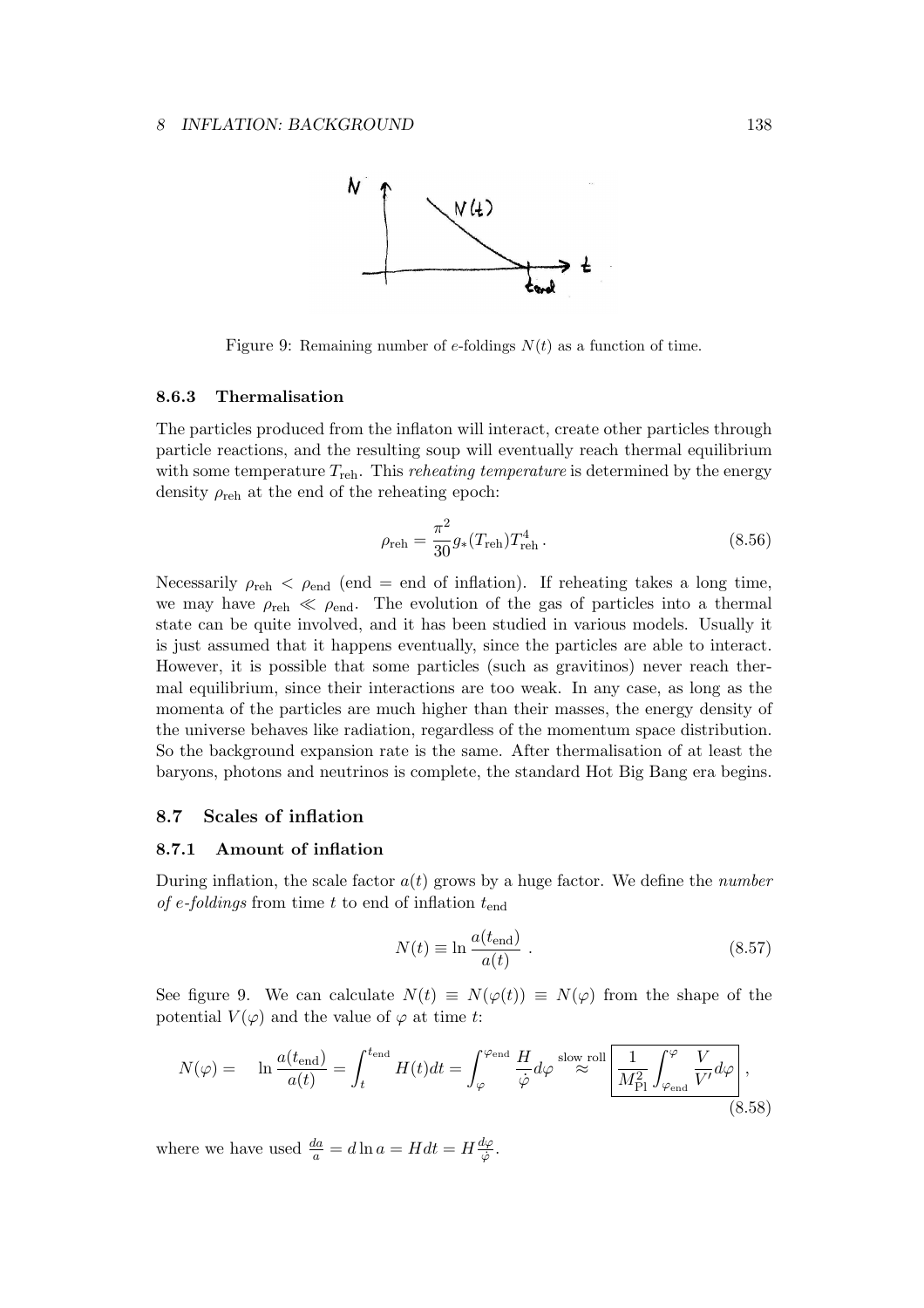

Figure 9: Remaining number of e-foldings  $N(t)$  as a function of time.

## 8.6.3 Thermalisation

The particles produced from the inflaton will interact, create other particles through particle reactions, and the resulting soup will eventually reach thermal equilibrium with some temperature  $T_{\text{reh}}$ . This *reheating temperature* is determined by the energy density  $\rho_{\text{reh}}$  at the end of the reheating epoch:

$$
\rho_{\rm reh} = \frac{\pi^2}{30} g_*(T_{\rm reh}) T_{\rm reh}^4.
$$
\n(8.56)

Necessarily  $\rho_{\text{reh}} < \rho_{\text{end}}$  (end = end of inflation). If reheating takes a long time, we may have  $\rho_{\text{reh}} \ll \rho_{\text{end}}$ . The evolution of the gas of particles into a thermal state can be quite involved, and it has been studied in various models. Usually it is just assumed that it happens eventually, since the particles are able to interact. However, it is possible that some particles (such as gravitinos) never reach thermal equilibrium, since their interactions are too weak. In any case, as long as the momenta of the particles are much higher than their masses, the energy density of the universe behaves like radiation, regardless of the momentum space distribution. So the background expansion rate is the same. After thermalisation of at least the baryons, photons and neutrinos is complete, the standard Hot Big Bang era begins.

## 8.7 Scales of inflation

#### 8.7.1 Amount of inflation

During inflation, the scale factor  $a(t)$  grows by a huge factor. We define the *number* of e-foldings from time t to end of inflation  $t_{\text{end}}$ 

$$
N(t) \equiv \ln \frac{a(t_{\text{end}})}{a(t)} . \tag{8.57}
$$

See figure 9. We can calculate  $N(t) \equiv N(\varphi(t)) \equiv N(\varphi)$  from the shape of the potential  $V(\varphi)$  and the value of  $\varphi$  at time t:

$$
N(\varphi) = \ln \frac{a(t_{\text{end}})}{a(t)} = \int_{t}^{t_{\text{end}}} H(t)dt = \int_{\varphi}^{\varphi_{\text{end}}} \frac{H}{\dot{\varphi}} d\varphi \stackrel{\text{slow roll}}{\approx} \boxed{\frac{1}{M_{\text{Pl}}^2} \int_{\varphi_{\text{end}}}^{\varphi} \frac{V}{V'} d\varphi},\tag{8.58}
$$

where we have used  $\frac{da}{a} = d \ln a = H dt = H \frac{d\varphi}{\dot{\varphi}}$  $\frac{\imath \varphi}{\varphi}.$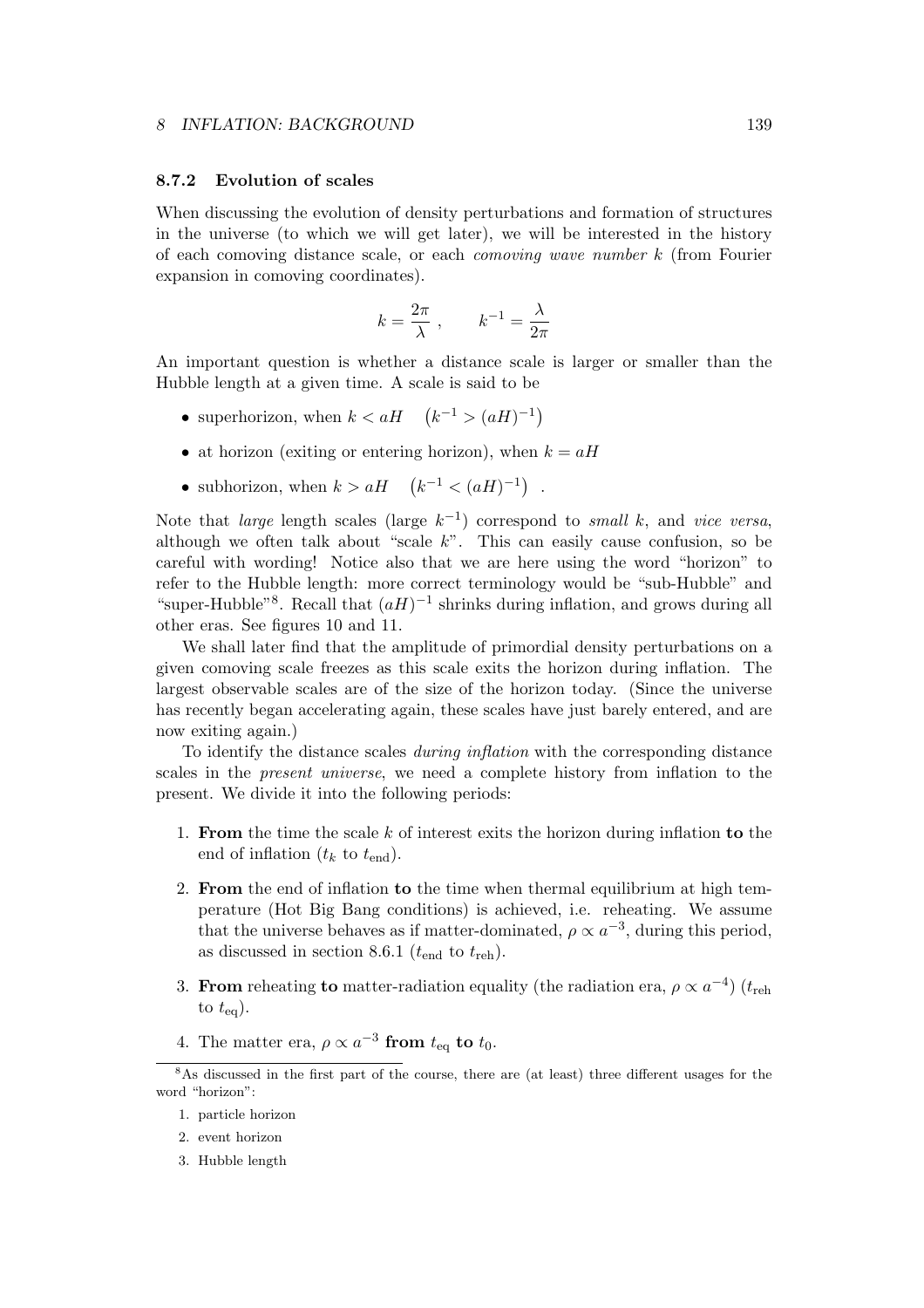### 8.7.2 Evolution of scales

When discussing the evolution of density perturbations and formation of structures in the universe (to which we will get later), we will be interested in the history of each comoving distance scale, or each comoving wave number k (from Fourier expansion in comoving coordinates).

$$
k = \frac{2\pi}{\lambda} , \qquad k^{-1} = \frac{\lambda}{2\pi}
$$

An important question is whether a distance scale is larger or smaller than the Hubble length at a given time. A scale is said to be

- superhorizon, when  $k < aH \quad (k^{-1} > (aH)^{-1})$
- at horizon (exiting or entering horizon), when  $k = aH$
- subhorizon, when  $k > aH \quad (k^{-1} < (aH)^{-1})$ .

Note that *large* length scales (large  $k^{-1}$ ) correspond to *small* k, and *vice versa*, although we often talk about "scale  $k$ ". This can easily cause confusion, so be careful with wording! Notice also that we are here using the word "horizon" to refer to the Hubble length: more correct terminology would be "sub-Hubble" and "super-Hubble"<sup>8</sup>. Recall that  $(aH)^{-1}$  shrinks during inflation, and grows during all other eras. See figures 10 and 11.

We shall later find that the amplitude of primordial density perturbations on a given comoving scale freezes as this scale exits the horizon during inflation. The largest observable scales are of the size of the horizon today. (Since the universe has recently began accelerating again, these scales have just barely entered, and are now exiting again.)

To identify the distance scales during inflation with the corresponding distance scales in the present universe, we need a complete history from inflation to the present. We divide it into the following periods:

- 1. From the time the scale  $k$  of interest exits the horizon during inflation to the end of inflation  $(t_k$  to  $t_{end})$ .
- 2. From the end of inflation to the time when thermal equilibrium at high temperature (Hot Big Bang conditions) is achieved, i.e. reheating. We assume that the universe behaves as if matter-dominated,  $\rho \propto a^{-3}$ , during this period, as discussed in section 8.6.1 ( $t_{\text{end}}$  to  $t_{\text{reh}}$ ).
- 3. From reheating to matter-radiation equality (the radiation era,  $\rho \propto a^{-4}$ ) ( $t_{\rm reh}$ ) to  $t_{eq}$ ).
- 4. The matter era,  $\rho \propto a^{-3}$  from  $t_{\text{eq}}$  to  $t_0$ .

<sup>&</sup>lt;sup>8</sup>As discussed in the first part of the course, there are (at least) three different usages for the word "horizon":

<sup>1.</sup> particle horizon

<sup>2.</sup> event horizon

<sup>3.</sup> Hubble length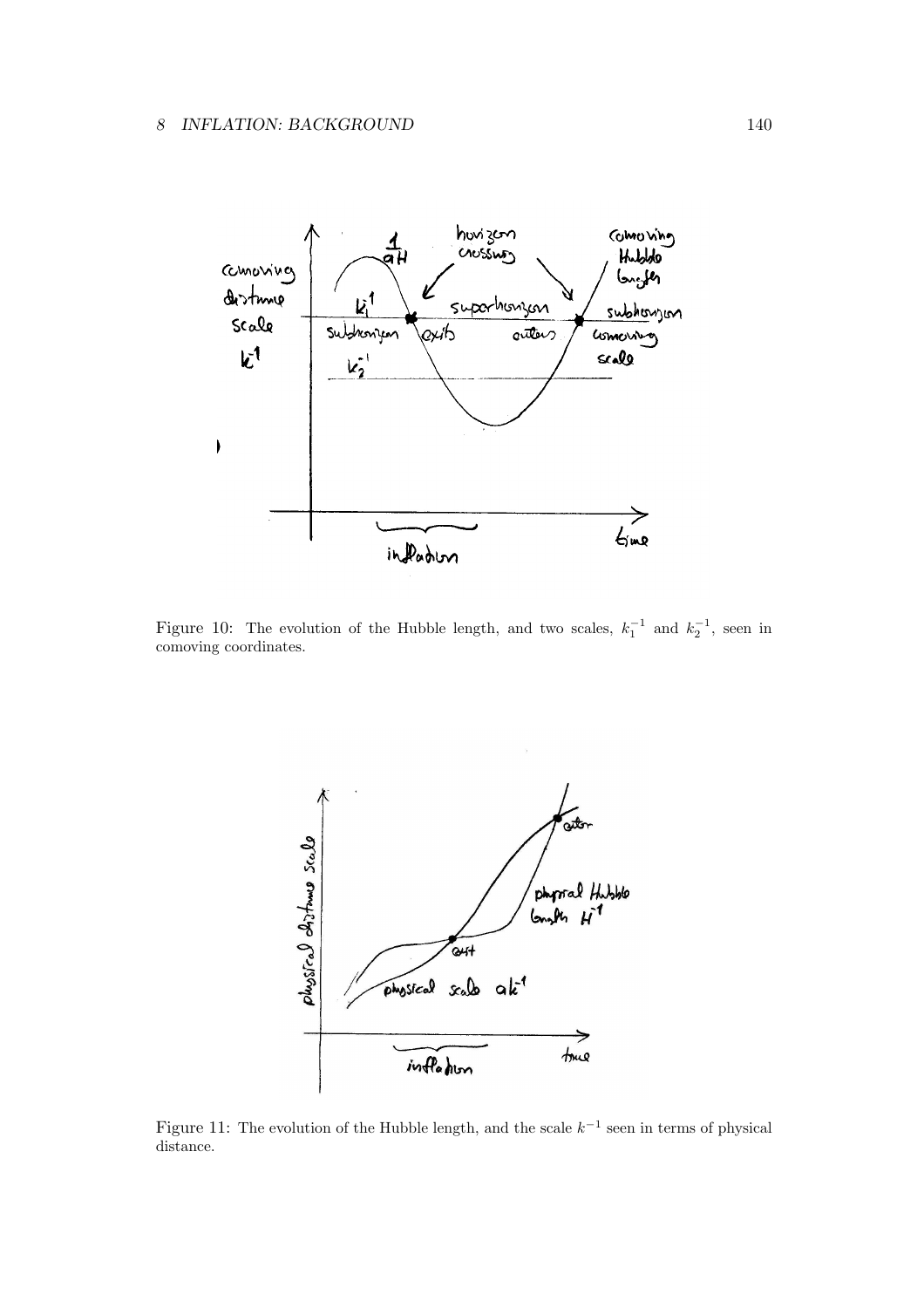

Figure 10: The evolution of the Hubble length, and two scales,  $k_1^{-1}$  and  $k_2^{-1}$ , seen in comoving coordinates.



Figure 11: The evolution of the Hubble length, and the scale  $k^{-1}$  seen in terms of physical distance.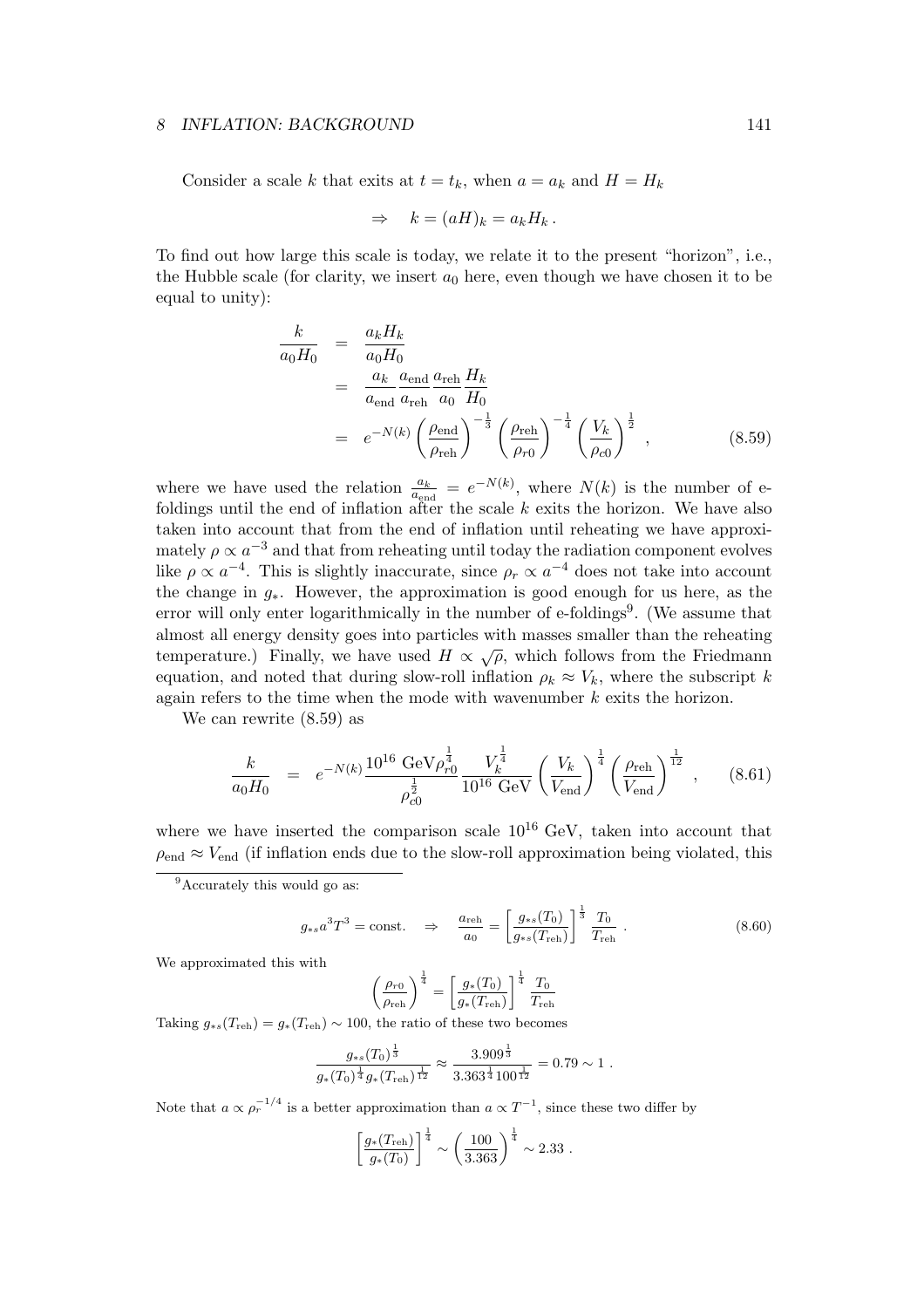Consider a scale k that exits at  $t = t_k$ , when  $a = a_k$  and  $H = H_k$ 

$$
\Rightarrow k = (aH)_k = a_k H_k.
$$

To find out how large this scale is today, we relate it to the present "horizon", i.e., the Hubble scale (for clarity, we insert  $a_0$  here, even though we have chosen it to be equal to unity):

$$
\frac{k}{a_0 H_0} = \frac{a_k H_k}{a_0 H_0}
$$
\n
$$
= \frac{a_k}{a_{end}} \frac{a_{end}}{a_{\text{reh}}} \frac{a_{\text{reh}}}{a_0 H_0}
$$
\n
$$
= e^{-N(k)} \left(\frac{\rho_{\text{end}}}{\rho_{\text{reh}}}\right)^{-\frac{1}{3}} \left(\frac{\rho_{\text{reh}}}{\rho_{r0}}\right)^{-\frac{1}{4}} \left(\frac{V_k}{\rho_{c0}}\right)^{\frac{1}{2}},
$$
\n(8.59)

where we have used the relation  $\frac{a_k}{a_{\text{end}}} = e^{-N(k)}$ , where  $N(k)$  is the number of efoldings until the end of inflation after the scale  $k$  exits the horizon. We have also taken into account that from the end of inflation until reheating we have approximately  $\rho \propto a^{-3}$  and that from reheating until today the radiation component evolves like  $\rho \propto a^{-4}$ . This is slightly inaccurate, since  $\rho_r \propto a^{-4}$  does not take into account the change in g∗. However, the approximation is good enough for us here, as the error will only enter logarithmically in the number of e-foldings<sup>9</sup>. (We assume that almost all energy density goes into particles with masses smaller than the reheating temperature.) Finally, we have used  $H \propto \sqrt{\rho}$ , which follows from the Friedmann equation, and noted that during slow-roll inflation  $\rho_k \approx V_k$ , where the subscript k again refers to the time when the mode with wavenumber  $k$  exits the horizon.

We can rewrite (8.59) as

$$
\frac{k}{a_0 H_0} = e^{-N(k)} \frac{10^{16} \text{ GeV} \rho_{r0}^{\frac{1}{4}}}{\rho_{c0}^{\frac{1}{2}}} \frac{V_k^{\frac{1}{4}}}{10^{16} \text{ GeV}} \left(\frac{V_k}{V_{\text{end}}}\right)^{\frac{1}{4}} \left(\frac{\rho_{\text{reh}}}{V_{\text{end}}}\right)^{\frac{1}{12}}, \quad (8.61)
$$

where we have inserted the comparison scale  $10^{16}$  GeV, taken into account that  $\rho_{\text{end}} \approx V_{\text{end}}$  (if inflation ends due to the slow-roll approximation being violated, this

$$
g_{*s}a^3T^3 = \text{const.} \quad \Rightarrow \quad \frac{a_{\text{reh}}}{a_0} = \left[\frac{g_{*s}(T_0)}{g_{*s}(T_{\text{reh}})}\right]^{\frac{1}{3}} \frac{T_0}{T_{\text{reh}}} \tag{8.60}
$$

We approximated this with

$$
\left(\frac{\rho_{r0}}{\rho_{\mathrm{reh}}}\right)^{\frac{1}{4}} = \left[\frac{g_*(T_0)}{g_*(T_{\mathrm{reh}})}\right]^{\frac{1}{4}} \frac{T_0}{T_{\mathrm{reh}}}
$$

Taking  $g_{\ast s}(T_{\rm reh}) = g_{\ast}(T_{\rm reh}) \sim 100$ , the ratio of these two becomes

$$
\frac{g_{\ast s}(T_0)^{\frac{1}{3}}}{g_{\ast}(T_0)^{\frac{1}{4}}g_{\ast}(T_{\rm reh})^{\frac{1}{12}}} \approx \frac{3.909^{\frac{1}{3}}}{3.363^{\frac{1}{4}}100^{\frac{1}{12}}}=0.79 \sim 1.
$$

Note that  $a \propto \rho_r^{-1/4}$  is a better approximation than  $a \propto T^{-1}$ , since these two differ by

$$
\left[\frac{g_*(T_{\rm reh})}{g_*(T_0)}\right]^{\frac{1}{4}} \sim \left(\frac{100}{3.363}\right)^{\frac{1}{4}} \sim 2.33.
$$

<sup>&</sup>lt;sup>9</sup>Accurately this would go as: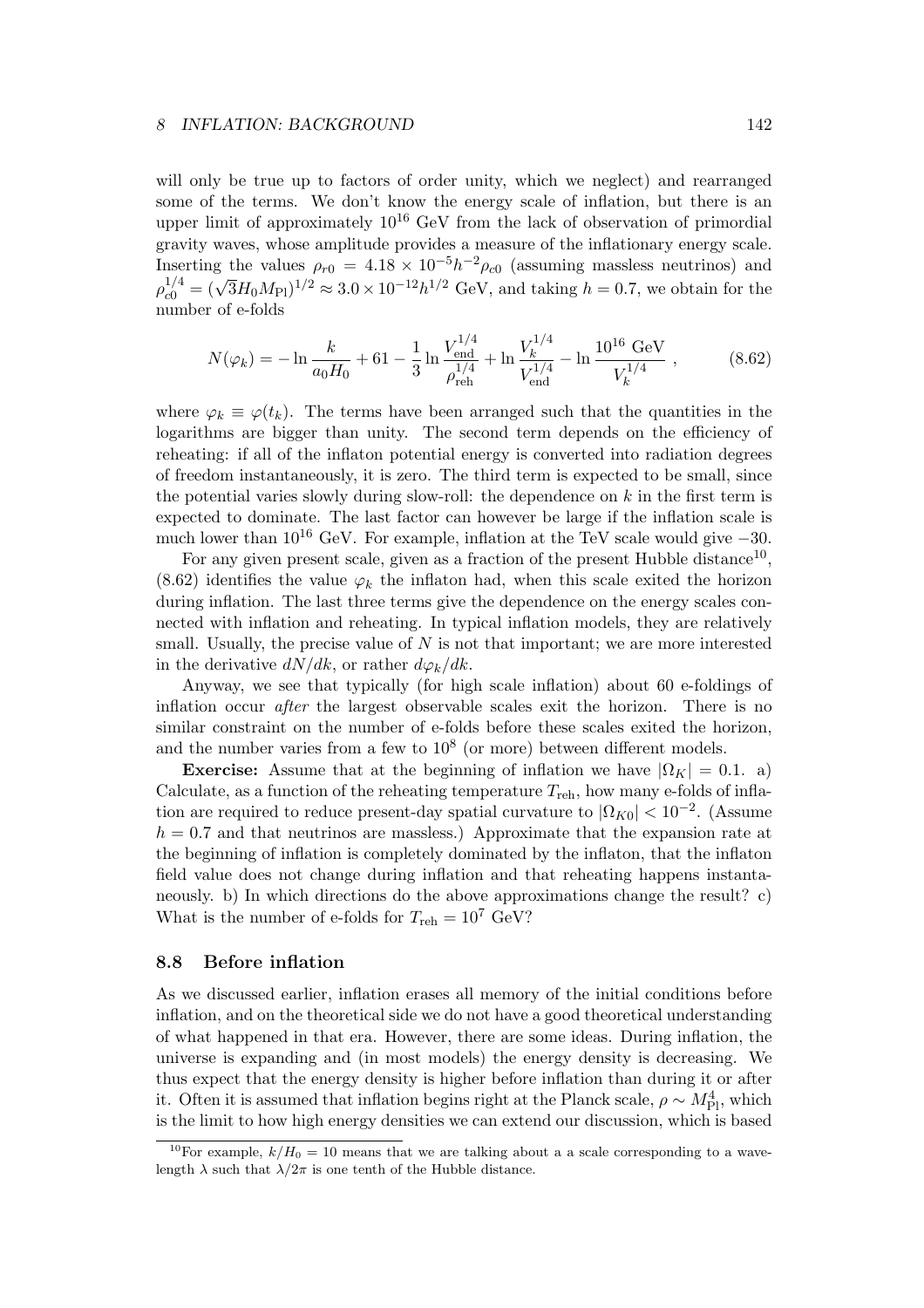will only be true up to factors of order unity, which we neglect) and rearranged some of the terms. We don't know the energy scale of inflation, but there is an upper limit of approximately  $10^{16}$  GeV from the lack of observation of primordial gravity waves, whose amplitude provides a measure of the inflationary energy scale. Inserting the values  $\rho_{r0} = 4.18 \times 10^{-5} h^{-2} \rho_{c0}$  (assuming massless neutrinos) and  $\rho_{c0}^{1/4} = (\sqrt{3}H_0M_{\rm Pl})^{1/2} \approx 3.0 \times 10^{-12}h^{1/2}$  GeV, and taking  $h = 0.7$ , we obtain for the number of e-folds

$$
N(\varphi_k) = -\ln \frac{k}{a_0 H_0} + 61 - \frac{1}{3} \ln \frac{V_{\text{end}}^{1/4}}{\rho_{\text{reh}}^{1/4}} + \ln \frac{V_k^{1/4}}{V_{\text{end}}^{1/4}} - \ln \frac{10^{16} \text{ GeV}}{V_k^{1/4}}, \qquad (8.62)
$$

where  $\varphi_k \equiv \varphi(t_k)$ . The terms have been arranged such that the quantities in the logarithms are bigger than unity. The second term depends on the efficiency of reheating: if all of the inflaton potential energy is converted into radiation degrees of freedom instantaneously, it is zero. The third term is expected to be small, since the potential varies slowly during slow-roll: the dependence on  $k$  in the first term is expected to dominate. The last factor can however be large if the inflation scale is much lower than  $10^{16}$  GeV. For example, inflation at the TeV scale would give  $-30$ .

For any given present scale, given as a fraction of the present Hubble distance<sup>10</sup>, (8.62) identifies the value  $\varphi_k$  the inflaton had, when this scale exited the horizon during inflation. The last three terms give the dependence on the energy scales connected with inflation and reheating. In typical inflation models, they are relatively small. Usually, the precise value of  $N$  is not that important; we are more interested in the derivative  $dN/dk$ , or rather  $d\varphi_k/dk$ .

Anyway, we see that typically (for high scale inflation) about 60 e-foldings of inflation occur after the largest observable scales exit the horizon. There is no similar constraint on the number of e-folds before these scales exited the horizon, and the number varies from a few to  $10^8$  (or more) between different models.

**Exercise:** Assume that at the beginning of inflation we have  $|\Omega_K| = 0.1$ . a) Calculate, as a function of the reheating temperature  $T_{\text{reh}}$ , how many e-folds of inflation are required to reduce present-day spatial curvature to  $|\Omega_{K0}| < 10^{-2}$ . (Assume  $h = 0.7$  and that neutrinos are massless.) Approximate that the expansion rate at the beginning of inflation is completely dominated by the inflaton, that the inflaton field value does not change during inflation and that reheating happens instantaneously. b) In which directions do the above approximations change the result? c) What is the number of e-folds for  $T_{\text{reh}} = 10^7 \text{ GeV}$ ?

#### 8.8 Before inflation

As we discussed earlier, inflation erases all memory of the initial conditions before inflation, and on the theoretical side we do not have a good theoretical understanding of what happened in that era. However, there are some ideas. During inflation, the universe is expanding and (in most models) the energy density is decreasing. We thus expect that the energy density is higher before inflation than during it or after it. Often it is assumed that inflation begins right at the Planck scale,  $\rho \sim M_{\text{Pl}}^4$ , which is the limit to how high energy densities we can extend our discussion, which is based

<sup>&</sup>lt;sup>10</sup>For example,  $k/H_0 = 10$  means that we are talking about a a scale corresponding to a wavelength  $\lambda$  such that  $\lambda/2\pi$  is one tenth of the Hubble distance.